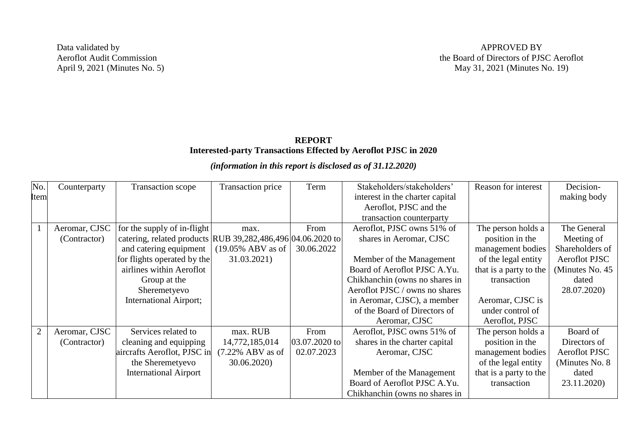Data validated by Aeroflot Audit Commission April 9, 2021 (Minutes No. 5)

## **REPORT Interested-party Transactions Effected by Aeroflot PJSC in 2020**

## *(information in this report is disclosed as of 31.12.2020)*

| No.            | Counterparty  | Transaction scope                                           | Transaction price                     | Term          | Stakeholders/stakeholders'      | Reason for interest    | Decision-            |
|----------------|---------------|-------------------------------------------------------------|---------------------------------------|---------------|---------------------------------|------------------------|----------------------|
| <b>Item</b>    |               |                                                             |                                       |               | interest in the charter capital |                        | making body          |
|                |               |                                                             |                                       |               | Aeroflot, PJSC and the          |                        |                      |
|                |               |                                                             |                                       |               | transaction counterparty        |                        |                      |
|                | Aeromar, CJSC | for the supply of in-flight                                 | max.                                  | From          | Aeroflot, PJSC owns 51% of      | The person holds a     | The General          |
|                | (Contractor)  | catering, related products RUB 39,282,486,496 04.06.2020 to |                                       |               | shares in Aeromar, CJSC         | position in the        | Meeting of           |
|                |               | and catering equipment                                      | $(19.05\% \text{ ABV} \text{ as of }$ | 30.06.2022    |                                 | management bodies      | Shareholders of      |
|                |               | for flights operated by the                                 | 31.03.2021)                           |               | Member of the Management        | of the legal entity    | <b>Aeroflot PJSC</b> |
|                |               | airlines within Aeroflot                                    |                                       |               | Board of Aeroflot PJSC A.Yu.    | that is a party to the | (Minutes No. 45)     |
|                |               | Group at the                                                |                                       |               | Chikhanchin (owns no shares in  | transaction            | dated                |
|                |               | Sheremetyevo                                                |                                       |               | Aeroflot PJSC / owns no shares  |                        | 28.07.2020)          |
|                |               | <b>International Airport;</b>                               |                                       |               | in Aeromar, CJSC), a member     | Aeromar, CJSC is       |                      |
|                |               |                                                             |                                       |               | of the Board of Directors of    | under control of       |                      |
|                |               |                                                             |                                       |               | Aeromar, CJSC                   | Aeroflot, PJSC         |                      |
| $\overline{2}$ | Aeromar, CJSC | Services related to                                         | max. RUB                              | From          | Aeroflot, PJSC owns 51% of      | The person holds a     | Board of             |
|                | (Contractor)  | cleaning and equipping                                      | 14,772,185,014                        | 03.07.2020 to | shares in the charter capital   | position in the        | Directors of         |
|                |               | aircrafts Aeroflot, PJSC in                                 | $(7.22\%$ ABV as of                   | 02.07.2023    | Aeromar, CJSC                   | management bodies      | <b>Aeroflot PJSC</b> |
|                |               | the Sheremetyevo                                            | 30.06.2020)                           |               |                                 | of the legal entity    | (Minutes No. 8)      |
|                |               | <b>International Airport</b>                                |                                       |               | Member of the Management        | that is a party to the | dated                |
|                |               |                                                             |                                       |               | Board of Aeroflot PJSC A.Yu.    | transaction            | 23.11.2020)          |
|                |               |                                                             |                                       |               | Chikhanchin (owns no shares in  |                        |                      |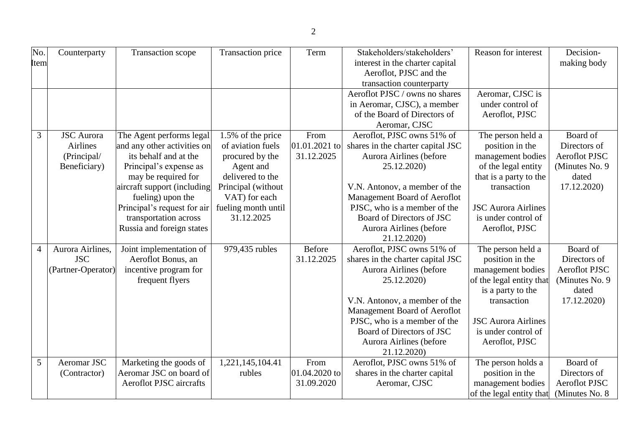| No.<br>Item    | Counterparty                                                        | <b>Transaction scope</b>                                                                                                                                                                                                                                                   | Transaction price                                                                                                                                                      | Term                                | Stakeholders/stakeholders'<br>interest in the charter capital<br>Aeroflot, PJSC and the<br>transaction counterparty                                                                                                                                                               | Reason for interest                                                                                                                                                                              | Decision-<br>making body                                                                    |
|----------------|---------------------------------------------------------------------|----------------------------------------------------------------------------------------------------------------------------------------------------------------------------------------------------------------------------------------------------------------------------|------------------------------------------------------------------------------------------------------------------------------------------------------------------------|-------------------------------------|-----------------------------------------------------------------------------------------------------------------------------------------------------------------------------------------------------------------------------------------------------------------------------------|--------------------------------------------------------------------------------------------------------------------------------------------------------------------------------------------------|---------------------------------------------------------------------------------------------|
|                |                                                                     |                                                                                                                                                                                                                                                                            |                                                                                                                                                                        |                                     | Aeroflot PJSC / owns no shares<br>in Aeromar, CJSC), a member<br>of the Board of Directors of<br>Aeromar, CJSC                                                                                                                                                                    | Aeromar, CJSC is<br>under control of<br>Aeroflot, PJSC                                                                                                                                           |                                                                                             |
| 3              | <b>JSC</b> Aurora<br><b>Airlines</b><br>(Principal/<br>Beneficiary) | The Agent performs legal<br>and any other activities on<br>its behalf and at the<br>Principal's expense as<br>may be required for<br>aircraft support (including<br>fueling) upon the<br>Principal's request for air<br>transportation across<br>Russia and foreign states | 1.5% of the price<br>of aviation fuels<br>procured by the<br>Agent and<br>delivered to the<br>Principal (without<br>VAT) for each<br>fueling month until<br>31.12.2025 | From<br>01.01.2021 to<br>31.12.2025 | Aeroflot, PJSC owns 51% of<br>shares in the charter capital JSC<br>Aurora Airlines (before<br>25.12.2020)<br>V.N. Antonov, a member of the<br>Management Board of Aeroflot<br>PJSC, who is a member of the<br>Board of Directors of JSC<br>Aurora Airlines (before<br>21.12.2020) | The person held a<br>position in the<br>management bodies<br>of the legal entity<br>that is a party to the<br>transaction<br><b>JSC Aurora Airlines</b><br>is under control of<br>Aeroflot, PJSC | Board of<br>Directors of<br><b>Aeroflot PJSC</b><br>(Minutes No. 9)<br>dated<br>17.12.2020) |
| $\overline{4}$ | Aurora Airlines,<br><b>JSC</b><br>(Partner-Operator)                | Joint implementation of<br>Aeroflot Bonus, an<br>incentive program for<br>frequent flyers                                                                                                                                                                                  | 979,435 rubles                                                                                                                                                         | Before<br>31.12.2025                | Aeroflot, PJSC owns 51% of<br>shares in the charter capital JSC<br>Aurora Airlines (before<br>25.12.2020)<br>V.N. Antonov, a member of the<br>Management Board of Aeroflot<br>PJSC, who is a member of the<br>Board of Directors of JSC<br>Aurora Airlines (before<br>21.12.2020) | The person held a<br>position in the<br>management bodies<br>of the legal entity that<br>is a party to the<br>transaction<br><b>JSC Aurora Airlines</b><br>is under control of<br>Aeroflot, PJSC | Board of<br>Directors of<br><b>Aeroflot PJSC</b><br>(Minutes No. 9)<br>dated<br>17.12.2020) |
| 5              | Aeromar JSC<br>(Contractor)                                         | Marketing the goods of<br>Aeromar JSC on board of<br><b>Aeroflot PJSC</b> aircrafts                                                                                                                                                                                        | 1,221,145,104.41<br>rubles                                                                                                                                             | From<br>01.04.2020 to<br>31.09.2020 | Aeroflot, PJSC owns 51% of<br>shares in the charter capital<br>Aeromar, CJSC                                                                                                                                                                                                      | The person holds a<br>position in the<br>management bodies<br>of the legal entity that                                                                                                           | Board of<br>Directors of<br>Aeroflot PJSC<br>(Minutes No. 8)                                |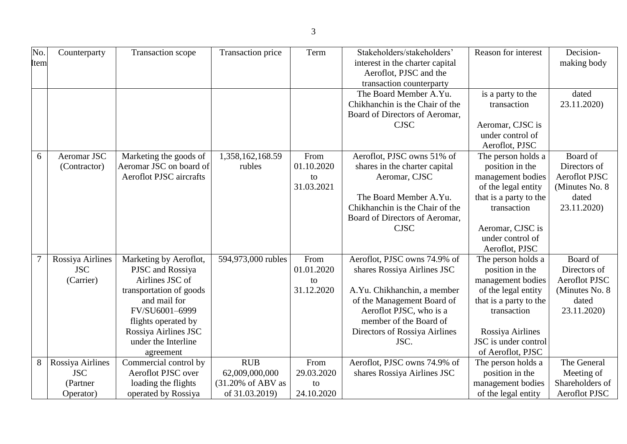| No.<br>Item    | Counterparty                                | Transaction scope                                                                                                                                                                                             | Transaction price          | Term                                   | Stakeholders/stakeholders'<br>interest in the charter capital<br>Aeroflot, PJSC and the<br>transaction counterparty                                                                                                    | Reason for interest                                                                                                                                                                         | Decision-<br>making body                                                                    |
|----------------|---------------------------------------------|---------------------------------------------------------------------------------------------------------------------------------------------------------------------------------------------------------------|----------------------------|----------------------------------------|------------------------------------------------------------------------------------------------------------------------------------------------------------------------------------------------------------------------|---------------------------------------------------------------------------------------------------------------------------------------------------------------------------------------------|---------------------------------------------------------------------------------------------|
|                |                                             |                                                                                                                                                                                                               |                            |                                        | The Board Member A.Yu.<br>Chikhanchin is the Chair of the<br>Board of Directors of Aeromar,<br><b>CJSC</b>                                                                                                             | is a party to the<br>transaction<br>Aeromar, CJSC is<br>under control of<br>Aeroflot, PJSC                                                                                                  | dated<br>23.11.2020)                                                                        |
| 6              | Aeromar JSC<br>(Contractor)                 | Marketing the goods of<br>Aeromar JSC on board of<br><b>Aeroflot PJSC</b> aircrafts                                                                                                                           | 1,358,162,168.59<br>rubles | From<br>01.10.2020<br>to<br>31.03.2021 | Aeroflot, PJSC owns 51% of<br>shares in the charter capital<br>Aeromar, CJSC<br>The Board Member A.Yu.<br>Chikhanchin is the Chair of the<br>Board of Directors of Aeromar,<br><b>CJSC</b>                             | The person holds a<br>position in the<br>management bodies<br>of the legal entity<br>that is a party to the<br>transaction<br>Aeromar, CJSC is<br>under control of<br>Aeroflot, PJSC        | Board of<br>Directors of<br><b>Aeroflot PJSC</b><br>(Minutes No. 8)<br>dated<br>23.11.2020) |
| $\overline{7}$ | Rossiya Airlines<br><b>JSC</b><br>(Carrier) | Marketing by Aeroflot,<br>PJSC and Rossiya<br>Airlines JSC of<br>transportation of goods<br>and mail for<br>FV/SU6001-6999<br>flights operated by<br>Rossiya Airlines JSC<br>under the Interline<br>agreement | 594,973,000 rubles         | From<br>01.01.2020<br>to<br>31.12.2020 | Aeroflot, PJSC owns 74.9% of<br>shares Rossiya Airlines JSC<br>A.Yu. Chikhanchin, a member<br>of the Management Board of<br>Aeroflot PJSC, who is a<br>member of the Board of<br>Directors of Rossiya Airlines<br>JSC. | The person holds a<br>position in the<br>management bodies<br>of the legal entity<br>that is a party to the<br>transaction<br>Rossiya Airlines<br>JSC is under control<br>of Aeroflot, PJSC | Board of<br>Directors of<br>Aeroflot PJSC<br>(Minutes No. 8<br>dated<br>23.11.2020)         |
| 8              | Rossiya Airlines                            | Commercial control by                                                                                                                                                                                         | <b>RUB</b>                 | From                                   | Aeroflot, PJSC owns 74.9% of                                                                                                                                                                                           | The person holds a                                                                                                                                                                          | The General                                                                                 |

29.03.2020 to 24.10.2020 shares Rossiya Airlines JSC

position in the management bodies of the legal entity

Meeting of Shareholders of Aeroflot PJSC

JSC (Partner Operator)

Aeroflot PJSC over loading the flights operated by Rossiya

62,009,000,000 (31.20% of ABV as of 31.03.2019)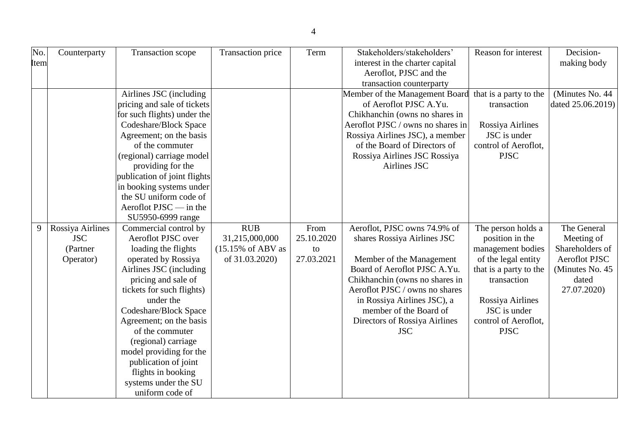| No.<br>Item | Counterparty     | Transaction scope                          | Transaction price             | Term       | Stakeholders/stakeholders'<br>interest in the charter capital | Reason for interest                  | Decision-<br>making body |
|-------------|------------------|--------------------------------------------|-------------------------------|------------|---------------------------------------------------------------|--------------------------------------|--------------------------|
|             |                  |                                            |                               |            | Aeroflot, PJSC and the                                        |                                      |                          |
|             |                  |                                            |                               |            | transaction counterparty                                      |                                      |                          |
|             |                  | Airlines JSC (including                    |                               |            | Member of the Management Board                                | that is a party to the               | (Minutes No. 44)         |
|             |                  | pricing and sale of tickets                |                               |            | of Aeroflot PJSC A.Yu.                                        | transaction                          | dated 25.06.2019)        |
|             |                  | for such flights) under the                |                               |            | Chikhanchin (owns no shares in                                |                                      |                          |
|             |                  | Codeshare/Block Space                      |                               |            | Aeroflot PJSC / owns no shares in                             | Rossiya Airlines                     |                          |
|             |                  | Agreement; on the basis                    |                               |            | Rossiya Airlines JSC), a member                               | JSC is under                         |                          |
|             |                  | of the commuter                            |                               |            | of the Board of Directors of                                  | control of Aeroflot,                 |                          |
|             |                  | (regional) carriage model                  |                               |            | Rossiya Airlines JSC Rossiya                                  | <b>PJSC</b>                          |                          |
|             |                  | providing for the                          |                               |            | Airlines JSC                                                  |                                      |                          |
|             |                  | publication of joint flights               |                               |            |                                                               |                                      |                          |
|             |                  | in booking systems under                   |                               |            |                                                               |                                      |                          |
|             |                  | the SU uniform code of                     |                               |            |                                                               |                                      |                          |
|             |                  | Aeroflot $PISC$ — in the                   |                               |            |                                                               |                                      |                          |
|             |                  | SU5950-6999 range                          |                               |            |                                                               |                                      |                          |
| 9           | Rossiya Airlines | Commercial control by                      | <b>RUB</b>                    | From       | Aeroflot, PJSC owns 74.9% of                                  | The person holds a                   | The General              |
|             | <b>JSC</b>       | Aeroflot PJSC over                         | 31,215,000,000                | 25.10.2020 | shares Rossiya Airlines JSC                                   | position in the                      | Meeting of               |
|             | (Partner)        | loading the flights                        | $(15.15\% \text{ of ABV as})$ | to         |                                                               | management bodies                    | Shareholders of          |
|             | Operator)        | operated by Rossiya                        | of 31.03.2020)                | 27.03.2021 | Member of the Management                                      | of the legal entity                  | Aeroflot PJSC            |
|             |                  | Airlines JSC (including                    |                               |            | Board of Aeroflot PJSC A.Yu.                                  | that is a party to the               | (Minutes No. 45          |
|             |                  | pricing and sale of                        |                               |            | Chikhanchin (owns no shares in                                | transaction                          | dated                    |
|             |                  | tickets for such flights)                  |                               |            | Aeroflot PJSC / owns no shares                                |                                      | 27.07.2020)              |
|             |                  | under the                                  |                               |            | in Rossiya Airlines JSC), a                                   | Rossiya Airlines                     |                          |
|             |                  | Codeshare/Block Space                      |                               |            | member of the Board of                                        | JSC is under<br>control of Aeroflot, |                          |
|             |                  | Agreement; on the basis<br>of the commuter |                               |            | Directors of Rossiya Airlines<br><b>JSC</b>                   | <b>PJSC</b>                          |                          |
|             |                  | (regional) carriage                        |                               |            |                                                               |                                      |                          |
|             |                  | model providing for the                    |                               |            |                                                               |                                      |                          |
|             |                  | publication of joint                       |                               |            |                                                               |                                      |                          |
|             |                  | flights in booking                         |                               |            |                                                               |                                      |                          |
|             |                  | systems under the SU                       |                               |            |                                                               |                                      |                          |
|             |                  | uniform code of                            |                               |            |                                                               |                                      |                          |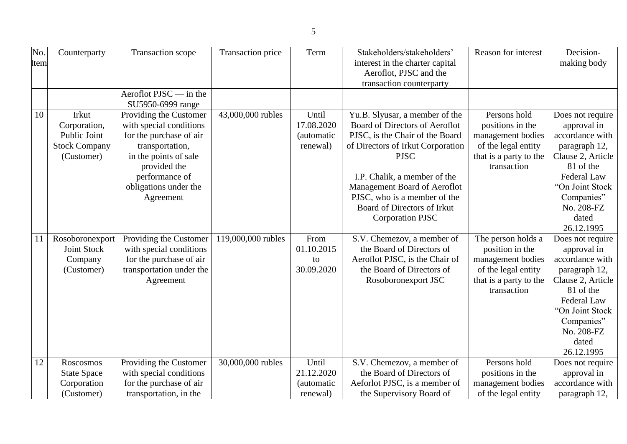| No.<br>Item | Counterparty                                                                | Transaction scope                                                                                                                                                                                | Transaction price  | Term                                          | Stakeholders/stakeholders'<br>interest in the charter capital<br>Aeroflot, PJSC and the<br>transaction counterparty                                                                                                                                                                                               | Reason for interest                                                                                                        | Decision-<br>making body                                                                                                                                                                   |
|-------------|-----------------------------------------------------------------------------|--------------------------------------------------------------------------------------------------------------------------------------------------------------------------------------------------|--------------------|-----------------------------------------------|-------------------------------------------------------------------------------------------------------------------------------------------------------------------------------------------------------------------------------------------------------------------------------------------------------------------|----------------------------------------------------------------------------------------------------------------------------|--------------------------------------------------------------------------------------------------------------------------------------------------------------------------------------------|
|             |                                                                             | Aeroflot $PISC$ — in the<br>SU5950-6999 range                                                                                                                                                    |                    |                                               |                                                                                                                                                                                                                                                                                                                   |                                                                                                                            |                                                                                                                                                                                            |
| 10          | Irkut<br>Corporation,<br>Public Joint<br><b>Stock Company</b><br>(Customer) | Providing the Customer<br>with special conditions<br>for the purchase of air<br>transportation,<br>in the points of sale<br>provided the<br>performance of<br>obligations under the<br>Agreement | 43,000,000 rubles  | Until<br>17.08.2020<br>(automatic<br>renewal) | Yu.B. Slyusar, a member of the<br>Board of Directors of Aeroflot<br>PJSC, is the Chair of the Board<br>of Directors of Irkut Corporation<br><b>PJSC</b><br>I.P. Chalik, a member of the<br>Management Board of Aeroflot<br>PJSC, who is a member of the<br>Board of Directors of Irkut<br><b>Corporation PJSC</b> | Persons hold<br>positions in the<br>management bodies<br>of the legal entity<br>that is a party to the<br>transaction      | Does not require<br>approval in<br>accordance with<br>paragraph 12,<br>Clause 2, Article<br>81 of the<br>Federal Law<br>"On Joint Stock<br>Companies"<br>No. 208-FZ<br>dated<br>26.12.1995 |
| 11          | Rosoboronexport<br><b>Joint Stock</b><br>Company<br>(Customer)              | Providing the Customer<br>with special conditions<br>for the purchase of air<br>transportation under the<br>Agreement                                                                            | 119,000,000 rubles | From<br>01.10.2015<br>to<br>30.09.2020        | S.V. Chemezov, a member of<br>the Board of Directors of<br>Aeroflot PJSC, is the Chair of<br>the Board of Directors of<br>Rosoboronexport JSC                                                                                                                                                                     | The person holds a<br>position in the<br>management bodies<br>of the legal entity<br>that is a party to the<br>transaction | Does not require<br>approval in<br>accordance with<br>paragraph 12,<br>Clause 2, Article<br>81 of the<br>Federal Law<br>"On Joint Stock<br>Companies"<br>No. 208-FZ<br>dated<br>26.12.1995 |
| 12          | Roscosmos<br><b>State Space</b><br>Corporation<br>(Customer)                | Providing the Customer<br>with special conditions<br>for the purchase of air<br>transportation, in the                                                                                           | 30,000,000 rubles  | Until<br>21.12.2020<br>(automatic<br>renewal) | S.V. Chemezov, a member of<br>the Board of Directors of<br>Aeforlot PJSC, is a member of<br>the Supervisory Board of                                                                                                                                                                                              | Persons hold<br>positions in the<br>management bodies<br>of the legal entity                                               | Does not require<br>approval in<br>accordance with<br>paragraph 12,                                                                                                                        |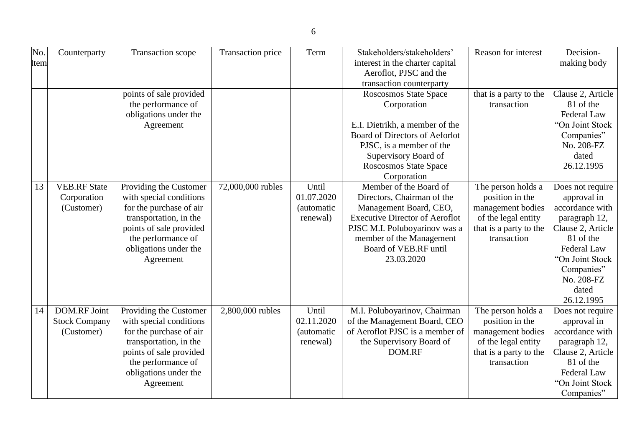| No.<br>Item | Counterparty         | Transaction scope       | Transaction price | Term               | Stakeholders/stakeholders'<br>interest in the charter capital | Reason for interest    | Decision-<br>making body       |
|-------------|----------------------|-------------------------|-------------------|--------------------|---------------------------------------------------------------|------------------------|--------------------------------|
|             |                      |                         |                   |                    | Aeroflot, PJSC and the                                        |                        |                                |
|             |                      |                         |                   |                    | transaction counterparty                                      |                        |                                |
|             |                      | points of sale provided |                   |                    | Roscosmos State Space                                         | that is a party to the | Clause 2, Article              |
|             |                      | the performance of      |                   |                    | Corporation                                                   | transaction            | 81 of the                      |
|             |                      | obligations under the   |                   |                    |                                                               |                        | Federal Law                    |
|             |                      | Agreement               |                   |                    | E.I. Dietrikh, a member of the                                |                        | "On Joint Stock                |
|             |                      |                         |                   |                    | Board of Directors of Aeforlot                                |                        | Companies"                     |
|             |                      |                         |                   |                    | PJSC, is a member of the                                      |                        | No. 208-FZ                     |
|             |                      |                         |                   |                    | Supervisory Board of                                          |                        | dated                          |
|             |                      |                         |                   |                    | Roscosmos State Space                                         |                        | 26.12.1995                     |
|             |                      |                         |                   |                    | Corporation                                                   |                        |                                |
| 13          | <b>VEB.RF</b> State  | Providing the Customer  | 72,000,000 rubles | Until              | Member of the Board of                                        | The person holds a     | Does not require               |
|             | Corporation          | with special conditions |                   | 01.07.2020         | Directors, Chairman of the                                    | position in the        | approval in                    |
|             | (Customer)           | for the purchase of air |                   | (automatic         | Management Board, CEO,                                        | management bodies      | accordance with                |
|             |                      | transportation, in the  |                   | renewal)           | <b>Executive Director of Aeroflot</b>                         | of the legal entity    | paragraph 12,                  |
|             |                      | points of sale provided |                   |                    | PJSC M.I. Poluboyarinov was a                                 | that is a party to the | Clause 2, Article              |
|             |                      | the performance of      |                   |                    | member of the Management                                      | transaction            | 81 of the                      |
|             |                      | obligations under the   |                   |                    | Board of VEB.RF until<br>23.03.2020                           |                        | Federal Law<br>"On Joint Stock |
|             |                      | Agreement               |                   |                    |                                                               |                        |                                |
|             |                      |                         |                   |                    |                                                               |                        | Companies"<br>No. 208-FZ       |
|             |                      |                         |                   |                    |                                                               |                        | dated                          |
|             |                      |                         |                   |                    |                                                               |                        | 26.12.1995                     |
| 14          | <b>DOM.RF Joint</b>  | Providing the Customer  | 2,800,000 rubles  | Until              | M.I. Poluboyarinov, Chairman                                  | The person holds a     | Does not require               |
|             | <b>Stock Company</b> | with special conditions |                   | 02.11.2020         | of the Management Board, CEO                                  | position in the        | approval in                    |
|             | (Customer)           | for the purchase of air |                   | <i>(automatic)</i> | of Aeroflot PJSC is a member of                               | management bodies      | accordance with                |
|             |                      | transportation, in the  |                   | renewal)           | the Supervisory Board of                                      | of the legal entity    | paragraph 12,                  |
|             |                      | points of sale provided |                   |                    | DOM.RF                                                        | that is a party to the | Clause 2, Article              |
|             |                      | the performance of      |                   |                    |                                                               | transaction            | 81 of the                      |
|             |                      | obligations under the   |                   |                    |                                                               |                        | Federal Law                    |
|             |                      | Agreement               |                   |                    |                                                               |                        | "On Joint Stock                |
|             |                      |                         |                   |                    |                                                               |                        | Companies"                     |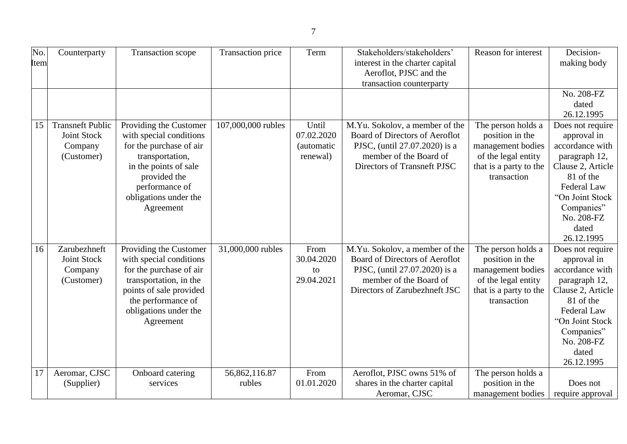| No.<br>Item | Counterparty                                                    | Transaction scope                                                                                                                                                                                | Transaction price       | Term                                                  | Stakeholders/stakeholders'<br>interest in the charter capital<br>Aeroflot, PJSC and the<br>transaction counterparty                                          | Reason for interest                                                                                                        | Decision-<br>making body                                                                                                                                                                   |
|-------------|-----------------------------------------------------------------|--------------------------------------------------------------------------------------------------------------------------------------------------------------------------------------------------|-------------------------|-------------------------------------------------------|--------------------------------------------------------------------------------------------------------------------------------------------------------------|----------------------------------------------------------------------------------------------------------------------------|--------------------------------------------------------------------------------------------------------------------------------------------------------------------------------------------|
|             |                                                                 |                                                                                                                                                                                                  |                         |                                                       |                                                                                                                                                              |                                                                                                                            | No. 208-FZ<br>dated<br>26.12.1995                                                                                                                                                          |
| 15          | <b>Transneft Public</b><br>Joint Stock<br>Company<br>(Customer) | Providing the Customer<br>with special conditions<br>for the purchase of air<br>transportation,<br>in the points of sale<br>provided the<br>performance of<br>obligations under the<br>Agreement | 107,000,000 rubles      | Until<br>07.02.2020<br><i>(automatic)</i><br>renewal) | M.Yu. Sokolov, a member of the<br>Board of Directors of Aeroflot<br>PJSC, (until 27.07.2020) is a<br>member of the Board of<br>Directors of Transneft PJSC   | The person holds a<br>position in the<br>management bodies<br>of the legal entity<br>that is a party to the<br>transaction | Does not require<br>approval in<br>accordance with<br>paragraph 12,<br>Clause 2, Article<br>81 of the<br>Federal Law<br>"On Joint Stock<br>Companies"<br>No. 208-FZ<br>dated<br>26.12.1995 |
| 16          | Zarubezhneft<br><b>Joint Stock</b><br>Company<br>(Customer)     | Providing the Customer<br>with special conditions<br>for the purchase of air<br>transportation, in the<br>points of sale provided<br>the performance of<br>obligations under the<br>Agreement    | 31,000,000 rubles       | From<br>30.04.2020<br>to<br>29.04.2021                | M.Yu. Sokolov, a member of the<br>Board of Directors of Aeroflot<br>PJSC, (until 27.07.2020) is a<br>member of the Board of<br>Directors of Zarubezhneft JSC | The person holds a<br>position in the<br>management bodies<br>of the legal entity<br>that is a party to the<br>transaction | Does not require<br>approval in<br>accordance with<br>paragraph 12,<br>Clause 2, Article<br>81 of the<br>Federal Law<br>"On Joint Stock<br>Companies"<br>No. 208-FZ<br>dated<br>26.12.1995 |
| 17          | Aeromar, CJSC<br>(Supplier)                                     | Onboard catering<br>services                                                                                                                                                                     | 56,862,116.87<br>rubles | From<br>01.01.2020                                    | Aeroflot, PJSC owns 51% of<br>shares in the charter capital<br>Aeromar, CJSC                                                                                 | The person holds a<br>position in the<br>management bodies                                                                 | Does not<br>require approval                                                                                                                                                               |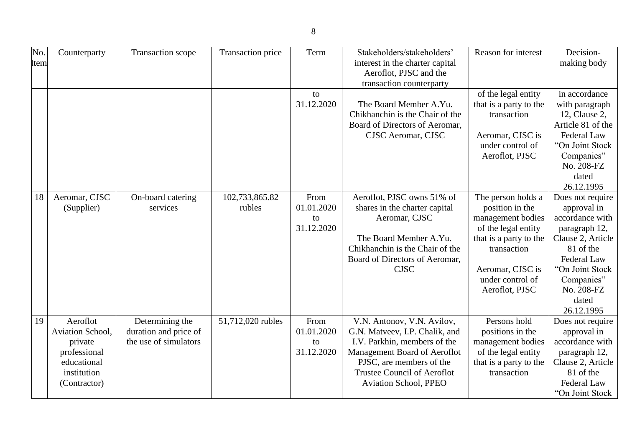| No.<br><b>Item</b> | Counterparty                                                                                          | Transaction scope                                                 | Transaction price        | Term                                   | Stakeholders/stakeholders'<br>interest in the charter capital<br>Aeroflot, PJSC and the<br>transaction counterparty                                                                                                            | Reason for interest                                                                                                                                                                  | Decision-<br>making body                                                                                                                                                                   |
|--------------------|-------------------------------------------------------------------------------------------------------|-------------------------------------------------------------------|--------------------------|----------------------------------------|--------------------------------------------------------------------------------------------------------------------------------------------------------------------------------------------------------------------------------|--------------------------------------------------------------------------------------------------------------------------------------------------------------------------------------|--------------------------------------------------------------------------------------------------------------------------------------------------------------------------------------------|
|                    |                                                                                                       |                                                                   |                          | to<br>31.12.2020                       | The Board Member A.Yu.<br>Chikhanchin is the Chair of the<br>Board of Directors of Aeromar,<br>CJSC Aeromar, CJSC                                                                                                              | of the legal entity<br>that is a party to the<br>transaction<br>Aeromar, CJSC is<br>under control of<br>Aeroflot, PJSC                                                               | in accordance<br>with paragraph<br>12, Clause 2,<br>Article 81 of the<br>Federal Law<br>"On Joint Stock<br>Companies"<br>No. 208-FZ<br>dated<br>26.12.1995                                 |
| 18                 | Aeromar, CJSC<br>(Supplier)                                                                           | On-board catering<br>services                                     | 102,733,865.82<br>rubles | From<br>01.01.2020<br>to<br>31.12.2020 | Aeroflot, PJSC owns 51% of<br>shares in the charter capital<br>Aeromar, CJSC<br>The Board Member A.Yu.<br>Chikhanchin is the Chair of the<br>Board of Directors of Aeromar,<br><b>CJSC</b>                                     | The person holds a<br>position in the<br>management bodies<br>of the legal entity<br>that is a party to the<br>transaction<br>Aeromar, CJSC is<br>under control of<br>Aeroflot, PJSC | Does not require<br>approval in<br>accordance with<br>paragraph 12,<br>Clause 2, Article<br>81 of the<br>Federal Law<br>"On Joint Stock<br>Companies"<br>No. 208-FZ<br>dated<br>26.12.1995 |
| 19                 | Aeroflot<br>Aviation School,<br>private<br>professional<br>educational<br>institution<br>(Contractor) | Determining the<br>duration and price of<br>the use of simulators | 51,712,020 rubles        | From<br>01.01.2020<br>to<br>31.12.2020 | V.N. Antonov, V.N. Avilov,<br>G.N. Matveev, I.P. Chalik, and<br>I.V. Parkhin, members of the<br>Management Board of Aeroflot<br>PJSC, are members of the<br><b>Trustee Council of Aeroflot</b><br><b>Aviation School, PPEO</b> | Persons hold<br>positions in the<br>management bodies<br>of the legal entity<br>that is a party to the<br>transaction                                                                | Does not require<br>approval in<br>accordance with<br>paragraph 12,<br>Clause 2, Article<br>81 of the<br>Federal Law<br>"On Joint Stock                                                    |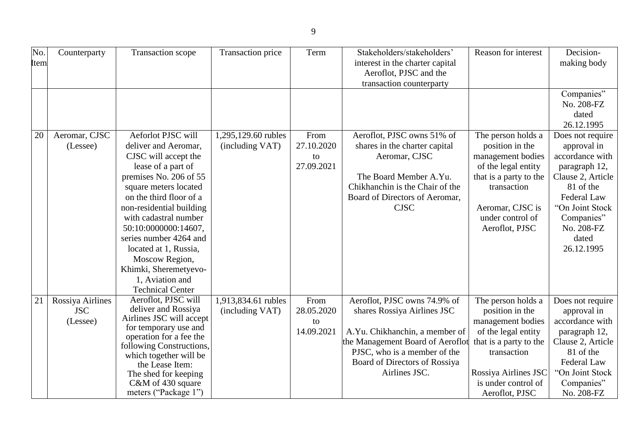| No.<br>Item | Counterparty                               | Transaction scope                                                                                                                                                                                                                                                                                                                                                                               | Transaction price                      | Term                                   | Stakeholders/stakeholders'<br>interest in the charter capital<br>Aeroflot, PJSC and the<br>transaction counterparty                                                                                                 | Reason for interest                                                                                                                                                                         | Decision-<br>making body                                                                                                                                                                   |
|-------------|--------------------------------------------|-------------------------------------------------------------------------------------------------------------------------------------------------------------------------------------------------------------------------------------------------------------------------------------------------------------------------------------------------------------------------------------------------|----------------------------------------|----------------------------------------|---------------------------------------------------------------------------------------------------------------------------------------------------------------------------------------------------------------------|---------------------------------------------------------------------------------------------------------------------------------------------------------------------------------------------|--------------------------------------------------------------------------------------------------------------------------------------------------------------------------------------------|
|             |                                            |                                                                                                                                                                                                                                                                                                                                                                                                 |                                        |                                        |                                                                                                                                                                                                                     |                                                                                                                                                                                             | Companies"<br>No. 208-FZ<br>dated<br>26.12.1995                                                                                                                                            |
| 20          | Aeromar, CJSC<br>(Lessee)                  | Aeforlot PJSC will<br>deliver and Aeromar,<br>CJSC will accept the<br>lease of a part of<br>premises No. 206 of 55<br>square meters located<br>on the third floor of a<br>non-residential building<br>with cadastral number<br>50:10:0000000:14607,<br>series number 4264 and<br>located at 1, Russia,<br>Moscow Region,<br>Khimki, Sheremetyevo-<br>1, Aviation and<br><b>Technical Center</b> | 1,295,129.60 rubles<br>(including VAT) | From<br>27.10.2020<br>to<br>27.09.2021 | Aeroflot, PJSC owns 51% of<br>shares in the charter capital<br>Aeromar, CJSC<br>The Board Member A.Yu.<br>Chikhanchin is the Chair of the<br>Board of Directors of Aeromar,<br><b>CJSC</b>                          | The person holds a<br>position in the<br>management bodies<br>of the legal entity<br>that is a party to the<br>transaction<br>Aeromar, CJSC is<br>under control of<br>Aeroflot, PJSC        | Does not require<br>approval in<br>accordance with<br>paragraph 12,<br>Clause 2, Article<br>81 of the<br>Federal Law<br>"On Joint Stock<br>Companies"<br>No. 208-FZ<br>dated<br>26.12.1995 |
| 21          | Rossiya Airlines<br><b>JSC</b><br>(Lessee) | Aeroflot, PJSC will<br>deliver and Rossiya<br>Airlines JSC will accept<br>for temporary use and<br>operation for a fee the<br>following Constructions,<br>which together will be<br>the Lease Item:<br>The shed for keeping<br>C&M of 430 square<br>meters ("Package 1")                                                                                                                        | 1,913,834.61 rubles<br>(including VAT) | From<br>28.05.2020<br>to<br>14.09.2021 | Aeroflot, PJSC owns 74.9% of<br>shares Rossiya Airlines JSC<br>A.Yu. Chikhanchin, a member of<br>the Management Board of Aeroflot<br>PJSC, who is a member of the<br>Board of Directors of Rossiya<br>Airlines JSC. | The person holds a<br>position in the<br>management bodies<br>of the legal entity<br>that is a party to the<br>transaction<br>Rossiya Airlines JSC<br>is under control of<br>Aeroflot, PJSC | Does not require<br>approval in<br>accordance with<br>paragraph 12,<br>Clause 2, Article<br>81 of the<br>Federal Law<br>"On Joint Stock<br>Companies"<br>No. 208-FZ                        |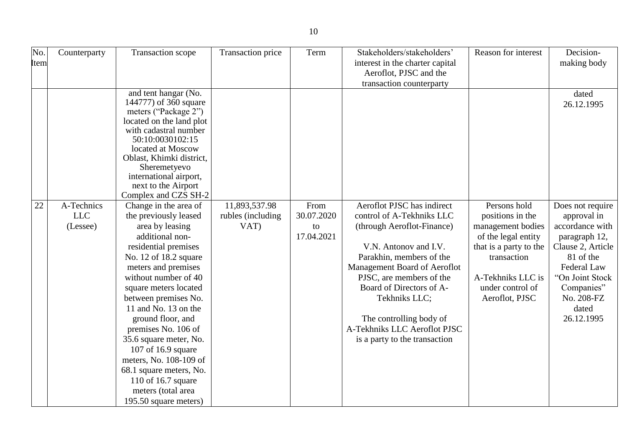| No.<br>Item | Counterparty                         | Transaction scope                                                                                                                                                                                                                                                                                                                                                                                                                                                                   | Transaction price                          | Term                                   | Stakeholders/stakeholders'<br>interest in the charter capital<br>Aeroflot, PJSC and the<br>transaction counterparty                                                                                                                                                                                                                             | Reason for interest                                                                                                                                                              | Decision-<br>making body                                                                                                                                                                   |
|-------------|--------------------------------------|-------------------------------------------------------------------------------------------------------------------------------------------------------------------------------------------------------------------------------------------------------------------------------------------------------------------------------------------------------------------------------------------------------------------------------------------------------------------------------------|--------------------------------------------|----------------------------------------|-------------------------------------------------------------------------------------------------------------------------------------------------------------------------------------------------------------------------------------------------------------------------------------------------------------------------------------------------|----------------------------------------------------------------------------------------------------------------------------------------------------------------------------------|--------------------------------------------------------------------------------------------------------------------------------------------------------------------------------------------|
|             |                                      | and tent hangar (No.<br>144777) of 360 square<br>meters ("Package 2")<br>located on the land plot<br>with cadastral number<br>50:10:0030102:15<br>located at Moscow<br>Oblast, Khimki district,<br>Sheremetyevo<br>international airport,<br>next to the Airport<br>Complex and CZS SH-2                                                                                                                                                                                            |                                            |                                        |                                                                                                                                                                                                                                                                                                                                                 |                                                                                                                                                                                  | dated<br>26.12.1995                                                                                                                                                                        |
| 22          | A-Technics<br><b>LLC</b><br>(Lessee) | Change in the area of<br>the previously leased<br>area by leasing<br>additional non-<br>residential premises<br>No. 12 of 18.2 square<br>meters and premises<br>without number of 40<br>square meters located<br>between premises No.<br>11 and No. 13 on the<br>ground floor, and<br>premises No. 106 of<br>35.6 square meter, No.<br>107 of 16.9 square<br>meters, No. 108-109 of<br>68.1 square meters, No.<br>110 of 16.7 square<br>meters (total area<br>195.50 square meters) | 11,893,537.98<br>rubles (including<br>VAT) | From<br>30.07.2020<br>to<br>17.04.2021 | Aeroflot PJSC has indirect<br>control of A-Tekhniks LLC<br>(through Aeroflot-Finance)<br>V.N. Antonov and I.V.<br>Parakhin, members of the<br>Management Board of Aeroflot<br>PJSC, are members of the<br>Board of Directors of A-<br>Tekhniks LLC;<br>The controlling body of<br>A-Tekhniks LLC Aeroflot PJSC<br>is a party to the transaction | Persons hold<br>positions in the<br>management bodies<br>of the legal entity<br>that is a party to the<br>transaction<br>A-Tekhniks LLC is<br>under control of<br>Aeroflot, PJSC | Does not require<br>approval in<br>accordance with<br>paragraph 12,<br>Clause 2, Article<br>81 of the<br>Federal Law<br>"On Joint Stock<br>Companies"<br>No. 208-FZ<br>dated<br>26.12.1995 |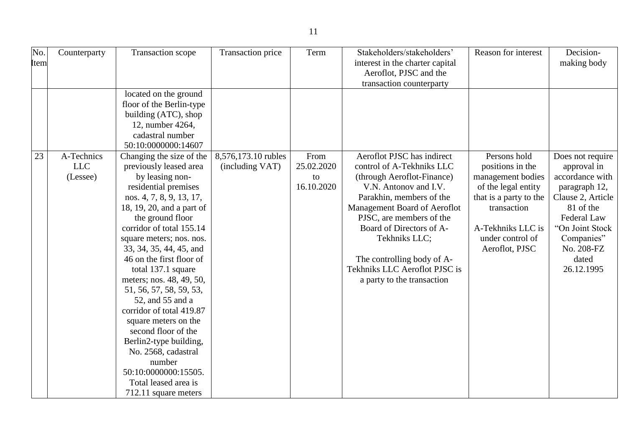| No.  | Counterparty | Transaction scope         | Transaction price   | Term       | Stakeholders/stakeholders'      | Reason for interest    | Decision-         |
|------|--------------|---------------------------|---------------------|------------|---------------------------------|------------------------|-------------------|
| Item |              |                           |                     |            | interest in the charter capital |                        | making body       |
|      |              |                           |                     |            | Aeroflot, PJSC and the          |                        |                   |
|      |              |                           |                     |            | transaction counterparty        |                        |                   |
|      |              | located on the ground     |                     |            |                                 |                        |                   |
|      |              | floor of the Berlin-type  |                     |            |                                 |                        |                   |
|      |              | building (ATC), shop      |                     |            |                                 |                        |                   |
|      |              | 12, number 4264,          |                     |            |                                 |                        |                   |
|      |              | cadastral number          |                     |            |                                 |                        |                   |
|      |              | 50:10:0000000:14607       |                     |            |                                 |                        |                   |
| 23   | A-Technics   | Changing the size of the  | 8,576,173.10 rubles | From       | Aeroflot PJSC has indirect      | Persons hold           | Does not require  |
|      | <b>LLC</b>   | previously leased area    | (including VAT)     | 25.02.2020 | control of A-Tekhniks LLC       | positions in the       | approval in       |
|      | (Lessee)     | by leasing non-           |                     | to         | (through Aeroflot-Finance)      | management bodies      | accordance with   |
|      |              | residential premises      |                     | 16.10.2020 | V.N. Antonov and I.V.           | of the legal entity    | paragraph 12,     |
|      |              | nos. 4, 7, 8, 9, 13, 17,  |                     |            | Parakhin, members of the        | that is a party to the | Clause 2, Article |
|      |              | 18, 19, 20, and a part of |                     |            | Management Board of Aeroflot    | transaction            | 81 of the         |
|      |              | the ground floor          |                     |            | PJSC, are members of the        |                        | Federal Law       |
|      |              | corridor of total 155.14  |                     |            | Board of Directors of A-        | A-Tekhniks LLC is      | "On Joint Stock   |
|      |              | square meters; nos. nos.  |                     |            | Tekhniks LLC;                   | under control of       | Companies"        |
|      |              | 33, 34, 35, 44, 45, and   |                     |            |                                 | Aeroflot, PJSC         | No. 208-FZ        |
|      |              | 46 on the first floor of  |                     |            | The controlling body of A-      |                        | dated             |
|      |              | total 137.1 square        |                     |            | Tekhniks LLC Aeroflot PJSC is   |                        | 26.12.1995        |
|      |              | meters; nos. 48, 49, 50,  |                     |            | a party to the transaction      |                        |                   |
|      |              | 51, 56, 57, 58, 59, 53,   |                     |            |                                 |                        |                   |
|      |              | 52, and 55 and a          |                     |            |                                 |                        |                   |
|      |              | corridor of total 419.87  |                     |            |                                 |                        |                   |
|      |              | square meters on the      |                     |            |                                 |                        |                   |
|      |              | second floor of the       |                     |            |                                 |                        |                   |
|      |              | Berlin2-type building,    |                     |            |                                 |                        |                   |
|      |              | No. 2568, cadastral       |                     |            |                                 |                        |                   |
|      |              | number                    |                     |            |                                 |                        |                   |
|      |              | 50:10:0000000:15505.      |                     |            |                                 |                        |                   |
|      |              | Total leased area is      |                     |            |                                 |                        |                   |
|      |              | 712.11 square meters      |                     |            |                                 |                        |                   |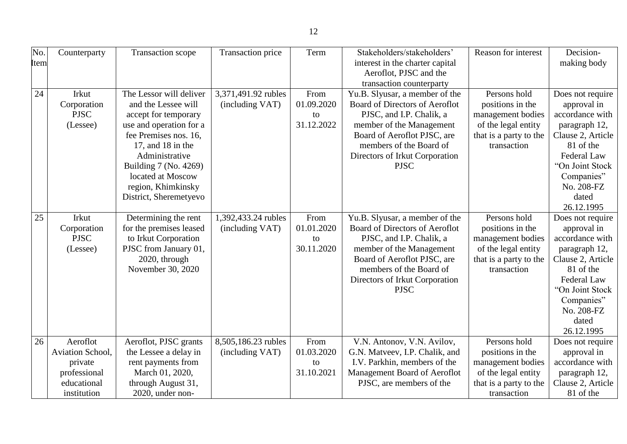| No.<br><b>Item</b> | Counterparty                                                                          | Transaction scope                                                                                                                                                                                                                                                 | Transaction price                      | Term                                   | Stakeholders/stakeholders'<br>interest in the charter capital<br>Aeroflot, PJSC and the<br>transaction counterparty                                                                                                                 | Reason for interest                                                                                                   | Decision-<br>making body                                                                                                                                                                   |
|--------------------|---------------------------------------------------------------------------------------|-------------------------------------------------------------------------------------------------------------------------------------------------------------------------------------------------------------------------------------------------------------------|----------------------------------------|----------------------------------------|-------------------------------------------------------------------------------------------------------------------------------------------------------------------------------------------------------------------------------------|-----------------------------------------------------------------------------------------------------------------------|--------------------------------------------------------------------------------------------------------------------------------------------------------------------------------------------|
| 24                 | Irkut<br>Corporation<br><b>PJSC</b><br>(Lessee)                                       | The Lessor will deliver<br>and the Lessee will<br>accept for temporary<br>use and operation for a<br>fee Premises nos. 16,<br>17, and $18$ in the<br>Administrative<br>Building 7 (No. 4269)<br>located at Moscow<br>region, Khimkinsky<br>District, Sheremetyevo | 3,371,491.92 rubles<br>(including VAT) | From<br>01.09.2020<br>to<br>31.12.2022 | Yu.B. Slyusar, a member of the<br>Board of Directors of Aeroflot<br>PJSC, and I.P. Chalik, a<br>member of the Management<br>Board of Aeroflot PJSC, are<br>members of the Board of<br>Directors of Irkut Corporation<br><b>PJSC</b> | Persons hold<br>positions in the<br>management bodies<br>of the legal entity<br>that is a party to the<br>transaction | Does not require<br>approval in<br>accordance with<br>paragraph 12,<br>Clause 2, Article<br>81 of the<br>Federal Law<br>"On Joint Stock<br>Companies"<br>No. 208-FZ<br>dated<br>26.12.1995 |
| 25                 | Irkut<br>Corporation<br><b>PJSC</b><br>(Lessee)                                       | Determining the rent<br>for the premises leased<br>to Irkut Corporation<br>PJSC from January 01,<br>2020, through<br>November 30, 2020                                                                                                                            | 1,392,433.24 rubles<br>(including VAT) | From<br>01.01.2020<br>to<br>30.11.2020 | Yu.B. Slyusar, a member of the<br>Board of Directors of Aeroflot<br>PJSC, and I.P. Chalik, a<br>member of the Management<br>Board of Aeroflot PJSC, are<br>members of the Board of<br>Directors of Irkut Corporation<br><b>PJSC</b> | Persons hold<br>positions in the<br>management bodies<br>of the legal entity<br>that is a party to the<br>transaction | Does not require<br>approval in<br>accordance with<br>paragraph 12,<br>Clause 2, Article<br>81 of the<br>Federal Law<br>"On Joint Stock<br>Companies"<br>No. 208-FZ<br>dated<br>26.12.1995 |
| 26                 | Aeroflot<br>Aviation School,<br>private<br>professional<br>educational<br>institution | Aeroflot, PJSC grants<br>the Lessee a delay in<br>rent payments from<br>March 01, 2020,<br>through August 31,<br>2020, under non-                                                                                                                                 | 8,505,186.23 rubles<br>(including VAT) | From<br>01.03.2020<br>to<br>31.10.2021 | V.N. Antonov, V.N. Avilov,<br>G.N. Matveev, I.P. Chalik, and<br>I.V. Parkhin, members of the<br>Management Board of Aeroflot<br>PJSC, are members of the                                                                            | Persons hold<br>positions in the<br>management bodies<br>of the legal entity<br>that is a party to the<br>transaction | Does not require<br>approval in<br>accordance with<br>paragraph 12,<br>Clause 2, Article<br>81 of the                                                                                      |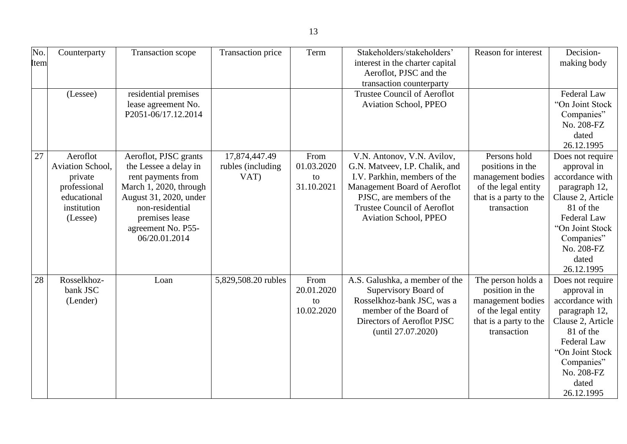| No.  | Counterparty     | Transaction scope      | Transaction price   | Term       | Stakeholders/stakeholders'         | Reason for interest    | Decision-                |
|------|------------------|------------------------|---------------------|------------|------------------------------------|------------------------|--------------------------|
| Item |                  |                        |                     |            | interest in the charter capital    |                        | making body              |
|      |                  |                        |                     |            | Aeroflot, PJSC and the             |                        |                          |
|      |                  |                        |                     |            | transaction counterparty           |                        |                          |
|      | (Lessee)         | residential premises   |                     |            | <b>Trustee Council of Aeroflot</b> |                        | Federal Law              |
|      |                  | lease agreement No.    |                     |            | <b>Aviation School, PPEO</b>       |                        | "On Joint Stock          |
|      |                  | P2051-06/17.12.2014    |                     |            |                                    |                        | Companies"               |
|      |                  |                        |                     |            |                                    |                        | No. 208-FZ               |
|      |                  |                        |                     |            |                                    |                        | dated                    |
|      |                  |                        |                     |            |                                    |                        | 26.12.1995               |
| 27   | Aeroflot         | Aeroflot, PJSC grants  | 17,874,447.49       | From       | V.N. Antonov, V.N. Avilov,         | Persons hold           | Does not require         |
|      | Aviation School, | the Lessee a delay in  | rubles (including   | 01.03.2020 | G.N. Matveev, I.P. Chalik, and     | positions in the       | approval in              |
|      | private          | rent payments from     | VAT)                | to         | I.V. Parkhin, members of the       | management bodies      | accordance with          |
|      | professional     | March 1, 2020, through |                     | 31.10.2021 | Management Board of Aeroflot       | of the legal entity    | paragraph 12,            |
|      | educational      | August 31, 2020, under |                     |            | PJSC, are members of the           | that is a party to the | Clause 2, Article        |
|      | institution      | non-residential        |                     |            | <b>Trustee Council of Aeroflot</b> | transaction            | 81 of the                |
|      | (Lessee)         | premises lease         |                     |            | <b>Aviation School, PPEO</b>       |                        | Federal Law              |
|      |                  | agreement No. P55-     |                     |            |                                    |                        | "On Joint Stock          |
|      |                  | 06/20.01.2014          |                     |            |                                    |                        | Companies"               |
|      |                  |                        |                     |            |                                    |                        | No. 208-FZ               |
|      |                  |                        |                     |            |                                    |                        | dated                    |
|      |                  |                        |                     |            |                                    |                        | 26.12.1995               |
| 28   | Rosselkhoz-      | Loan                   | 5,829,508.20 rubles | From       | A.S. Galushka, a member of the     | The person holds a     | Does not require         |
|      | bank JSC         |                        |                     | 20.01.2020 | Supervisory Board of               | position in the        | approval in              |
|      | (Lender)         |                        |                     | to         | Rosselkhoz-bank JSC, was a         | management bodies      | accordance with          |
|      |                  |                        |                     | 10.02.2020 | member of the Board of             | of the legal entity    | paragraph 12,            |
|      |                  |                        |                     |            | Directors of Aeroflot PJSC         | that is a party to the | Clause 2, Article        |
|      |                  |                        |                     |            | (until 27.07.2020)                 | transaction            | 81 of the<br>Federal Law |
|      |                  |                        |                     |            |                                    |                        | "On Joint Stock          |
|      |                  |                        |                     |            |                                    |                        |                          |
|      |                  |                        |                     |            |                                    |                        | Companies"               |
|      |                  |                        |                     |            |                                    |                        | No. 208-FZ               |
|      |                  |                        |                     |            |                                    |                        | dated<br>26.12.1995      |
|      |                  |                        |                     |            |                                    |                        |                          |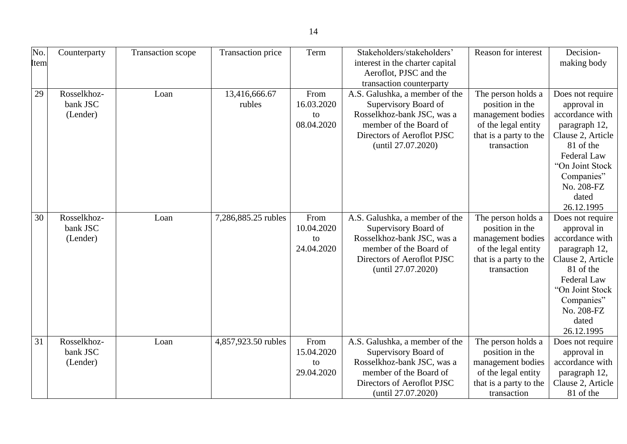| No.         | Counterparty | <b>Transaction scope</b> | Transaction price   | Term       | Stakeholders/stakeholders'      | Reason for interest    | Decision-          |
|-------------|--------------|--------------------------|---------------------|------------|---------------------------------|------------------------|--------------------|
| <b>Item</b> |              |                          |                     |            | interest in the charter capital |                        | making body        |
|             |              |                          |                     |            | Aeroflot, PJSC and the          |                        |                    |
|             |              |                          |                     |            | transaction counterparty        |                        |                    |
| 29          | Rosselkhoz-  | Loan                     | 13,416,666.67       | From       | A.S. Galushka, a member of the  | The person holds a     | Does not require   |
|             | bank JSC     |                          | rubles              | 16.03.2020 | Supervisory Board of            | position in the        | approval in        |
|             | (Lender)     |                          |                     | to         | Rosselkhoz-bank JSC, was a      | management bodies      | accordance with    |
|             |              |                          |                     | 08.04.2020 | member of the Board of          | of the legal entity    | paragraph 12,      |
|             |              |                          |                     |            | Directors of Aeroflot PJSC      | that is a party to the | Clause 2, Article  |
|             |              |                          |                     |            | (until 27.07.2020)              | transaction            | 81 of the          |
|             |              |                          |                     |            |                                 |                        | <b>Federal Law</b> |
|             |              |                          |                     |            |                                 |                        | "On Joint Stock    |
|             |              |                          |                     |            |                                 |                        | Companies"         |
|             |              |                          |                     |            |                                 |                        | No. 208-FZ         |
|             |              |                          |                     |            |                                 |                        | dated              |
|             |              |                          |                     |            |                                 |                        | 26.12.1995         |
| 30          | Rosselkhoz-  | Loan                     | 7,286,885.25 rubles | From       | A.S. Galushka, a member of the  | The person holds a     | Does not require   |
|             | bank JSC     |                          |                     | 10.04.2020 | Supervisory Board of            | position in the        | approval in        |
|             | (Lender)     |                          |                     | to         | Rosselkhoz-bank JSC, was a      | management bodies      | accordance with    |
|             |              |                          |                     | 24.04.2020 | member of the Board of          | of the legal entity    | paragraph 12,      |
|             |              |                          |                     |            | Directors of Aeroflot PJSC      | that is a party to the | Clause 2, Article  |
|             |              |                          |                     |            | (until 27.07.2020)              | transaction            | 81 of the          |
|             |              |                          |                     |            |                                 |                        | Federal Law        |
|             |              |                          |                     |            |                                 |                        | "On Joint Stock    |
|             |              |                          |                     |            |                                 |                        | Companies"         |
|             |              |                          |                     |            |                                 |                        | No. 208-FZ         |
|             |              |                          |                     |            |                                 |                        | dated              |
|             |              |                          |                     |            |                                 |                        | 26.12.1995         |
| 31          | Rosselkhoz-  | Loan                     | 4,857,923.50 rubles | From       | A.S. Galushka, a member of the  | The person holds a     | Does not require   |
|             | bank JSC     |                          |                     | 15.04.2020 | Supervisory Board of            | position in the        | approval in        |
|             | (Lender)     |                          |                     | to         | Rosselkhoz-bank JSC, was a      | management bodies      | accordance with    |
|             |              |                          |                     | 29.04.2020 | member of the Board of          | of the legal entity    | paragraph 12,      |
|             |              |                          |                     |            | Directors of Aeroflot PJSC      | that is a party to the | Clause 2, Article  |
|             |              |                          |                     |            | (until 27.07.2020)              | transaction            | 81 of the          |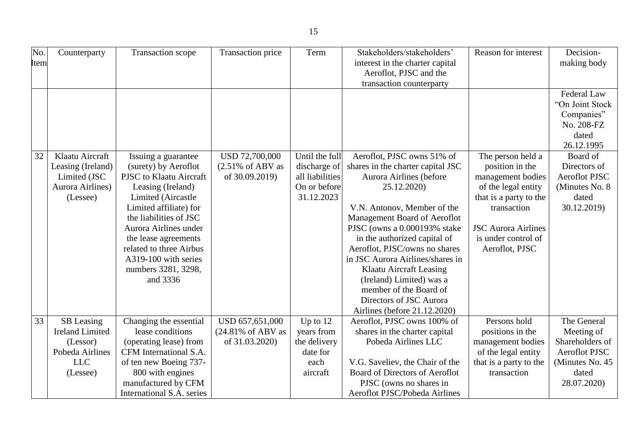| No.  | Counterparty                | Transaction scope                                | Transaction price            | Term                     | Stakeholders/stakeholders'                                        | Reason for interest                   | Decision-                               |
|------|-----------------------------|--------------------------------------------------|------------------------------|--------------------------|-------------------------------------------------------------------|---------------------------------------|-----------------------------------------|
| Item |                             |                                                  |                              |                          | interest in the charter capital                                   |                                       | making body                             |
|      |                             |                                                  |                              |                          | Aeroflot, PJSC and the<br>transaction counterparty                |                                       |                                         |
|      |                             |                                                  |                              |                          |                                                                   |                                       | <b>Federal Law</b>                      |
|      |                             |                                                  |                              |                          |                                                                   |                                       | "On Joint Stock                         |
|      |                             |                                                  |                              |                          |                                                                   |                                       | Companies"                              |
|      |                             |                                                  |                              |                          |                                                                   |                                       | No. 208-FZ                              |
|      |                             |                                                  |                              |                          |                                                                   |                                       | dated                                   |
|      |                             |                                                  |                              |                          |                                                                   |                                       | 26.12.1995                              |
| 32   | Klaatu Aircraft             | Issuing a guarantee                              | USD 72,700,000               | Until the full           | Aeroflot, PJSC owns 51% of                                        | The person held a                     | Board of                                |
|      | Leasing (Ireland)           | (surety) by Aeroflot                             | $(2.51\% \text{ of ABV as})$ | discharge of             | shares in the charter capital JSC                                 | position in the                       | Directors of                            |
|      | Limited (JSC                | PJSC to Klaatu Aircraft                          | of 30.09.2019)               | all liabilities          | Aurora Airlines (before                                           | management bodies                     | <b>Aeroflot PJSC</b>                    |
|      | Aurora Airlines)            | Leasing (Ireland)                                |                              | On or before             | 25.12.2020)                                                       | of the legal entity                   | (Minutes No. 8)                         |
|      | (Lessee)                    | Limited (Aircastle                               |                              | 31.12.2023               |                                                                   | that is a party to the                | dated                                   |
|      |                             | Limited affiliate) for                           |                              |                          | V.N. Antonov, Member of the                                       | transaction                           | 30.12.2019)                             |
|      |                             | the liabilities of JSC                           |                              |                          | Management Board of Aeroflot                                      |                                       |                                         |
|      |                             | Aurora Airlines under                            |                              |                          | PJSC (owns a 0.000193% stake                                      | <b>JSC Aurora Airlines</b>            |                                         |
|      |                             | the lease agreements                             |                              |                          | in the authorized capital of                                      | is under control of                   |                                         |
|      |                             | related to three Airbus                          |                              |                          | Aeroflot, PJSC/owns no shares                                     | Aeroflot, PJSC                        |                                         |
|      |                             | A319-100 with series                             |                              |                          | in JSC Aurora Airlines/shares in                                  |                                       |                                         |
|      |                             | numbers 3281, 3298,                              |                              |                          | <b>Klaatu Aircraft Leasing</b>                                    |                                       |                                         |
|      |                             | and 3336                                         |                              |                          | (Ireland) Limited) was a                                          |                                       |                                         |
|      |                             |                                                  |                              |                          | member of the Board of                                            |                                       |                                         |
|      |                             |                                                  |                              |                          | Directors of JSC Aurora                                           |                                       |                                         |
|      |                             |                                                  |                              |                          | Airlines (before 21.12.2020)                                      |                                       |                                         |
| 33   | SB Leasing                  | Changing the essential                           | USD 657,651,000              | Up to $12$               | Aeroflot, PJSC owns 100% of                                       | Persons hold                          | The General                             |
|      | <b>Ireland Limited</b>      | lease conditions                                 | (24.81% of ABV as            | years from               | shares in the charter capital                                     | positions in the                      | Meeting of                              |
|      | (Lessor)<br>Pobeda Airlines | (operating lease) from<br>CFM International S.A. | of 31.03.2020)               | the delivery<br>date for | Pobeda Airlines LLC                                               | management bodies                     | Shareholders of<br><b>Aeroflot PJSC</b> |
|      |                             |                                                  |                              |                          |                                                                   | of the legal entity                   |                                         |
|      | <b>LLC</b>                  | of ten new Boeing 737-                           |                              | each                     | V.G. Saveliev, the Chair of the<br>Board of Directors of Aeroflot | that is a party to the<br>transaction | (Minutes No. 45)<br>dated               |
|      | (Lessee)                    | 800 with engines<br>manufactured by CFM          |                              | aircraft                 | PJSC (owns no shares in                                           |                                       | 28.07.2020)                             |
|      |                             | International S.A. series                        |                              |                          | Aeroflot PJSC/Pobeda Airlines                                     |                                       |                                         |
|      |                             |                                                  |                              |                          |                                                                   |                                       |                                         |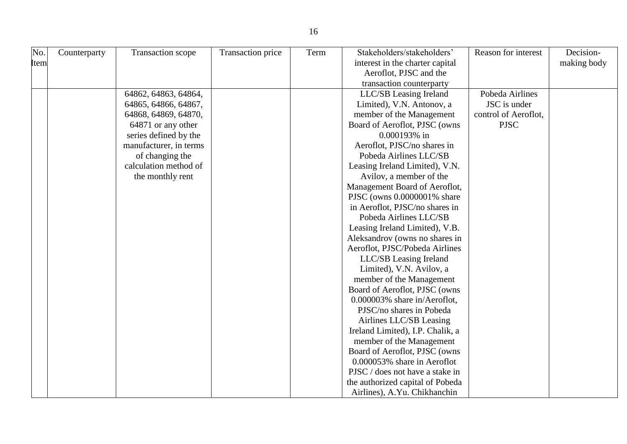| No.  | Counterparty | Transaction scope      | Transaction price | Term | Stakeholders/stakeholders'       | Reason for interest  | Decision-   |
|------|--------------|------------------------|-------------------|------|----------------------------------|----------------------|-------------|
| Item |              |                        |                   |      | interest in the charter capital  |                      | making body |
|      |              |                        |                   |      | Aeroflot, PJSC and the           |                      |             |
|      |              |                        |                   |      | transaction counterparty         |                      |             |
|      |              | 64862, 64863, 64864,   |                   |      | LLC/SB Leasing Ireland           | Pobeda Airlines      |             |
|      |              | 64865, 64866, 64867,   |                   |      | Limited), V.N. Antonov, a        | JSC is under         |             |
|      |              | 64868, 64869, 64870,   |                   |      | member of the Management         | control of Aeroflot, |             |
|      |              | 64871 or any other     |                   |      | Board of Aeroflot, PJSC (owns    | <b>PJSC</b>          |             |
|      |              | series defined by the  |                   |      | 0.000193% in                     |                      |             |
|      |              | manufacturer, in terms |                   |      | Aeroflot, PJSC/no shares in      |                      |             |
|      |              | of changing the        |                   |      | Pobeda Airlines LLC/SB           |                      |             |
|      |              | calculation method of  |                   |      | Leasing Ireland Limited), V.N.   |                      |             |
|      |              | the monthly rent       |                   |      | Avilov, a member of the          |                      |             |
|      |              |                        |                   |      | Management Board of Aeroflot,    |                      |             |
|      |              |                        |                   |      | PJSC (owns 0.0000001% share      |                      |             |
|      |              |                        |                   |      | in Aeroflot, PJSC/no shares in   |                      |             |
|      |              |                        |                   |      | Pobeda Airlines LLC/SB           |                      |             |
|      |              |                        |                   |      | Leasing Ireland Limited), V.B.   |                      |             |
|      |              |                        |                   |      | Aleksandrov (owns no shares in   |                      |             |
|      |              |                        |                   |      | Aeroflot, PJSC/Pobeda Airlines   |                      |             |
|      |              |                        |                   |      | LLC/SB Leasing Ireland           |                      |             |
|      |              |                        |                   |      | Limited), V.N. Avilov, a         |                      |             |
|      |              |                        |                   |      | member of the Management         |                      |             |
|      |              |                        |                   |      | Board of Aeroflot, PJSC (owns    |                      |             |
|      |              |                        |                   |      | 0.000003% share in/Aeroflot,     |                      |             |
|      |              |                        |                   |      | PJSC/no shares in Pobeda         |                      |             |
|      |              |                        |                   |      | Airlines LLC/SB Leasing          |                      |             |
|      |              |                        |                   |      | Ireland Limited), I.P. Chalik, a |                      |             |
|      |              |                        |                   |      | member of the Management         |                      |             |
|      |              |                        |                   |      | Board of Aeroflot, PJSC (owns    |                      |             |
|      |              |                        |                   |      | 0.000053% share in Aeroflot      |                      |             |
|      |              |                        |                   |      | PJSC / does not have a stake in  |                      |             |
|      |              |                        |                   |      | the authorized capital of Pobeda |                      |             |
|      |              |                        |                   |      | Airlines), A.Yu. Chikhanchin     |                      |             |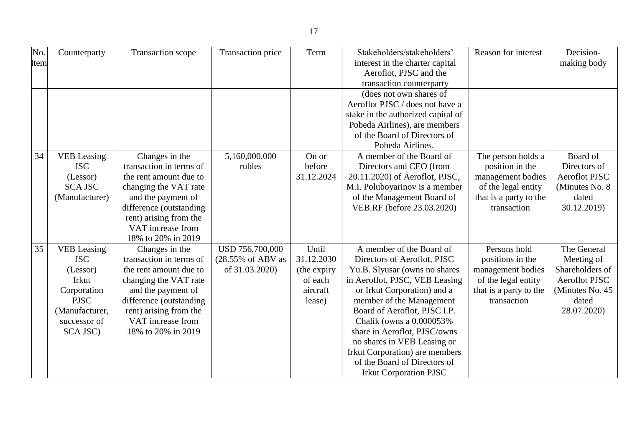|--|

| No.  | Counterparty       | Transaction scope       | Transaction price | Term        | Stakeholders/stakeholders'         | Reason for interest    | Decision-            |
|------|--------------------|-------------------------|-------------------|-------------|------------------------------------|------------------------|----------------------|
| Item |                    |                         |                   |             | interest in the charter capital    |                        | making body          |
|      |                    |                         |                   |             | Aeroflot, PJSC and the             |                        |                      |
|      |                    |                         |                   |             | transaction counterparty           |                        |                      |
|      |                    |                         |                   |             | (does not own shares of            |                        |                      |
|      |                    |                         |                   |             | Aeroflot PJSC / does not have a    |                        |                      |
|      |                    |                         |                   |             | stake in the authorized capital of |                        |                      |
|      |                    |                         |                   |             | Pobeda Airlines), are members      |                        |                      |
|      |                    |                         |                   |             | of the Board of Directors of       |                        |                      |
|      |                    |                         |                   |             | Pobeda Airlines.                   |                        |                      |
| 34   | <b>VEB</b> Leasing | Changes in the          | 5,160,000,000     | On or       | A member of the Board of           | The person holds a     | Board of             |
|      | <b>JSC</b>         | transaction in terms of | rubles            | before      | Directors and CEO (from            | position in the        | Directors of         |
|      | (Lessor)           | the rent amount due to  |                   | 31.12.2024  | 20.11.2020) of Aeroflot, PJSC,     | management bodies      | <b>Aeroflot PJSC</b> |
|      | <b>SCA JSC</b>     | changing the VAT rate   |                   |             | M.I. Poluboyarinov is a member     | of the legal entity    | (Minutes No. 8)      |
|      | (Manufacturer)     | and the payment of      |                   |             | of the Management Board of         | that is a party to the | dated                |
|      |                    | difference (outstanding |                   |             | VEB.RF (before 23.03.2020)         | transaction            | 30.12.2019)          |
|      |                    | rent) arising from the  |                   |             |                                    |                        |                      |
|      |                    | VAT increase from       |                   |             |                                    |                        |                      |
|      |                    | 18% to 20% in 2019      |                   |             |                                    |                        |                      |
| 35   | <b>VEB</b> Leasing | Changes in the          | USD 756,700,000   | Until       | A member of the Board of           | Persons hold           | The General          |
|      | <b>JSC</b>         | transaction in terms of | (28.55% of ABV as | 31.12.2030  | Directors of Aeroflot, PJSC        | positions in the       | Meeting of           |
|      | (Lessor)           | the rent amount due to  | of 31.03.2020)    | (the expiry | Yu.B. Slyusar (owns no shares      | management bodies      | Shareholders of      |
|      | <b>Irkut</b>       | changing the VAT rate   |                   | of each     | in Aeroflot, PJSC, VEB Leasing     | of the legal entity    | <b>Aeroflot PJSC</b> |
|      | Corporation        | and the payment of      |                   | aircraft    | or Irkut Corporation) and a        | that is a party to the | (Minutes No. 45)     |
|      | <b>PJSC</b>        | difference (outstanding |                   | lease)      | member of the Management           | transaction            | dated                |
|      | (Manufacturer,     | rent) arising from the  |                   |             | Board of Aeroflot, PJSC I.P.       |                        | 28.07.2020)          |
|      | successor of       | VAT increase from       |                   |             | Chalik (owns a 0.000053%           |                        |                      |
|      | SCA JSC)           | 18% to 20% in 2019      |                   |             | share in Aeroflot, PJSC/owns       |                        |                      |
|      |                    |                         |                   |             | no shares in VEB Leasing or        |                        |                      |
|      |                    |                         |                   |             | Irkut Corporation) are members     |                        |                      |
|      |                    |                         |                   |             | of the Board of Directors of       |                        |                      |
|      |                    |                         |                   |             | <b>Irkut Corporation PJSC</b>      |                        |                      |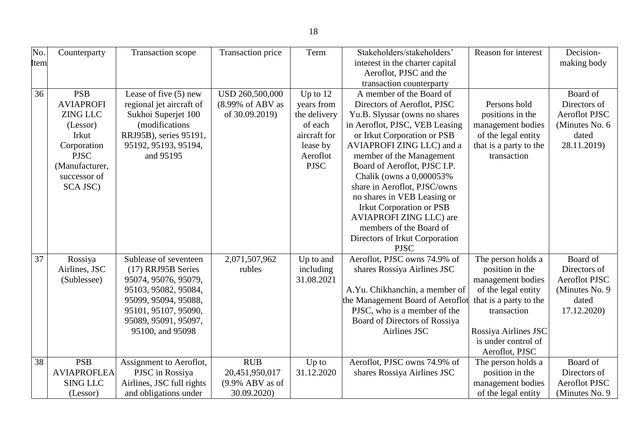| No.         | Counterparty       | Transaction scope         | Transaction price  | Term         | Stakeholders/stakeholders'       | Reason for interest    | Decision-            |
|-------------|--------------------|---------------------------|--------------------|--------------|----------------------------------|------------------------|----------------------|
| <b>Item</b> |                    |                           |                    |              | interest in the charter capital  |                        | making body          |
|             |                    |                           |                    |              | Aeroflot, PJSC and the           |                        |                      |
|             |                    |                           |                    |              | transaction counterparty         |                        |                      |
| 36          | <b>PSB</b>         | Lease of five $(5)$ new   | USD 260,500,000    | Up to $12$   | A member of the Board of         |                        | Board of             |
|             | <b>AVIAPROFI</b>   | regional jet aircraft of  | (8.99% of ABV as   | years from   | Directors of Aeroflot, PJSC      | Persons hold           | Directors of         |
|             | <b>ZING LLC</b>    | Sukhoi Superjet 100       | of 30.09.2019)     | the delivery | Yu.B. Slyusar (owns no shares    | positions in the       | <b>Aeroflot PJSC</b> |
|             | (Lessor)           | (modifications)           |                    | of each      | in Aeroflot, PJSC, VEB Leasing   | management bodies      | (Minutes No. 6       |
|             | <b>Irkut</b>       | RRJ95B), series 95191,    |                    | aircraft for | or Irkut Corporation or PSB      | of the legal entity    | dated                |
|             | Corporation        | 95192, 95193, 95194,      |                    | lease by     | AVIAPROFI ZING LLC) and a        | that is a party to the | 28.11.2019)          |
|             | <b>PJSC</b>        | and 95195                 |                    | Aeroflot     | member of the Management         | transaction            |                      |
|             | (Manufacturer,     |                           |                    | <b>PJSC</b>  | Board of Aeroflot, PJSC I.P.     |                        |                      |
|             | successor of       |                           |                    |              | Chalik (owns a 0,000053%         |                        |                      |
|             | SCA JSC)           |                           |                    |              | share in Aeroflot, PJSC/owns     |                        |                      |
|             |                    |                           |                    |              | no shares in VEB Leasing or      |                        |                      |
|             |                    |                           |                    |              | <b>Irkut Corporation or PSB</b>  |                        |                      |
|             |                    |                           |                    |              | <b>AVIAPROFI ZING LLC)</b> are   |                        |                      |
|             |                    |                           |                    |              | members of the Board of          |                        |                      |
|             |                    |                           |                    |              | Directors of Irkut Corporation   |                        |                      |
|             |                    |                           |                    |              | <b>PJSC</b>                      |                        |                      |
| 37          | Rossiya            | Sublease of seventeen     | 2,071,507,962      | Up to and    | Aeroflot, PJSC owns 74.9% of     | The person holds a     | Board of             |
|             | Airlines, JSC      | (17) RRJ95B Series        | rubles             | including    | shares Rossiya Airlines JSC      | position in the        | Directors of         |
|             | (Sublessee)        | 95074, 95076, 95079,      |                    | 31.08.2021   |                                  | management bodies      | Aeroflot PJSC        |
|             |                    | 95103, 95082, 95084,      |                    |              | A.Yu. Chikhanchin, a member of   | of the legal entity    | (Minutes No. 9)      |
|             |                    | 95099, 95094, 95088,      |                    |              | the Management Board of Aeroflot | that is a party to the | dated                |
|             |                    | 95101, 95107, 95090,      |                    |              | PJSC, who is a member of the     | transaction            | 17.12.2020)          |
|             |                    | 95089, 95091, 95097,      |                    |              | Board of Directors of Rossiya    |                        |                      |
|             |                    | 95100, and 95098          |                    |              | Airlines JSC                     | Rossiya Airlines JSC   |                      |
|             |                    |                           |                    |              |                                  | is under control of    |                      |
|             |                    |                           |                    |              |                                  | Aeroflot, PJSC         |                      |
| 38          | <b>PSB</b>         | Assignment to Aeroflot,   | <b>RUB</b>         | Up to        | Aeroflot, PJSC owns 74.9% of     | The person holds a     | Board of             |
|             | <b>AVIAPROFLEA</b> | PJSC in Rossiya           | 20,451,950,017     | 31.12.2020   | shares Rossiya Airlines JSC      | position in the        | Directors of         |
|             | <b>SING LLC</b>    | Airlines, JSC full rights | $(9.9\%$ ABV as of |              |                                  | management bodies      | <b>Aeroflot PJSC</b> |
|             | (Lessor)           | and obligations under     | 30.09.2020)        |              |                                  | of the legal entity    | (Minutes No. 9)      |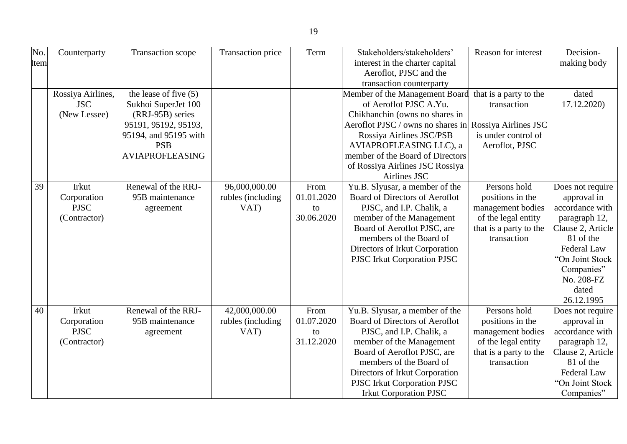| No.  | Counterparty      | Transaction scope       | Transaction price | Term       | Stakeholders/stakeholders'        | Reason for interest    | Decision-          |
|------|-------------------|-------------------------|-------------------|------------|-----------------------------------|------------------------|--------------------|
| Item |                   |                         |                   |            | interest in the charter capital   |                        | making body        |
|      |                   |                         |                   |            | Aeroflot, PJSC and the            |                        |                    |
|      |                   |                         |                   |            | transaction counterparty          |                        |                    |
|      | Rossiya Airlines, | the lease of five $(5)$ |                   |            | Member of the Management Board    | that is a party to the | dated              |
|      | <b>JSC</b>        | Sukhoi SuperJet 100     |                   |            | of Aeroflot PJSC A.Yu.            | transaction            | 17.12.2020)        |
|      | (New Lessee)      | (RRJ-95B) series        |                   |            | Chikhanchin (owns no shares in    |                        |                    |
|      |                   | 95191, 95192, 95193,    |                   |            | Aeroflot PJSC / owns no shares in | Rossiya Airlines JSC   |                    |
|      |                   | 95194, and 95195 with   |                   |            | Rossiya Airlines JSC/PSB          | is under control of    |                    |
|      |                   | <b>PSB</b>              |                   |            | AVIAPROFLEASING LLC), a           | Aeroflot, PJSC         |                    |
|      |                   | <b>AVIAPROFLEASING</b>  |                   |            | member of the Board of Directors  |                        |                    |
|      |                   |                         |                   |            | of Rossiya Airlines JSC Rossiya   |                        |                    |
|      |                   |                         |                   |            | Airlines JSC                      |                        |                    |
| 39   | Irkut             | Renewal of the RRJ-     | 96,000,000.00     | From       | Yu.B. Slyusar, a member of the    | Persons hold           | Does not require   |
|      | Corporation       | 95B maintenance         | rubles (including | 01.01.2020 | Board of Directors of Aeroflot    | positions in the       | approval in        |
|      | <b>PJSC</b>       | agreement               | VAT)              | to         | PJSC, and I.P. Chalik, a          | management bodies      | accordance with    |
|      | (Contractor)      |                         |                   | 30.06.2020 | member of the Management          | of the legal entity    | paragraph 12,      |
|      |                   |                         |                   |            | Board of Aeroflot PJSC, are       | that is a party to the | Clause 2, Article  |
|      |                   |                         |                   |            | members of the Board of           | transaction            | 81 of the          |
|      |                   |                         |                   |            | Directors of Irkut Corporation    |                        | <b>Federal Law</b> |
|      |                   |                         |                   |            | PJSC Irkut Corporation PJSC       |                        | "On Joint Stock    |
|      |                   |                         |                   |            |                                   |                        | Companies"         |
|      |                   |                         |                   |            |                                   |                        | No. 208-FZ         |
|      |                   |                         |                   |            |                                   |                        | dated              |
|      |                   |                         |                   |            |                                   |                        | 26.12.1995         |
| 40   | Irkut             | Renewal of the RRJ-     | 42,000,000.00     | From       | Yu.B. Slyusar, a member of the    | Persons hold           | Does not require   |
|      | Corporation       | 95B maintenance         | rubles (including | 01.07.2020 | Board of Directors of Aeroflot    | positions in the       | approval in        |
|      | <b>PJSC</b>       | agreement               | VAT)              | to         | PJSC, and I.P. Chalik, a          | management bodies      | accordance with    |
|      | (Contractor)      |                         |                   | 31.12.2020 | member of the Management          | of the legal entity    | paragraph 12,      |
|      |                   |                         |                   |            | Board of Aeroflot PJSC, are       | that is a party to the | Clause 2, Article  |
|      |                   |                         |                   |            | members of the Board of           | transaction            | 81 of the          |
|      |                   |                         |                   |            | Directors of Irkut Corporation    |                        | Federal Law        |
|      |                   |                         |                   |            | PJSC Irkut Corporation PJSC       |                        | "On Joint Stock    |
|      |                   |                         |                   |            | <b>Irkut Corporation PJSC</b>     |                        | Companies"         |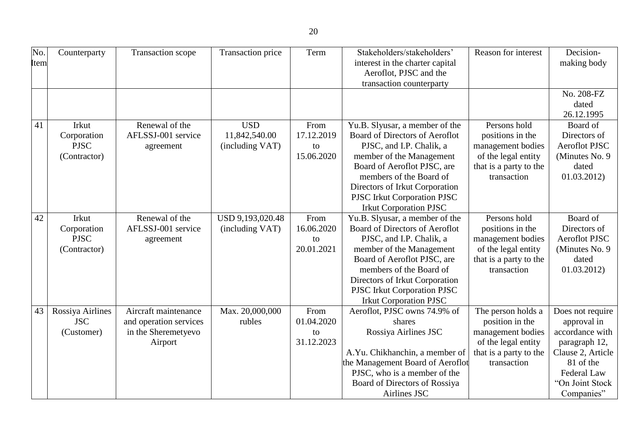| No.<br>Item | Counterparty                                        | Transaction scope                                                                | Transaction price                              | Term                                   | Stakeholders/stakeholders'<br>interest in the charter capital<br>Aeroflot, PJSC and the<br>transaction counterparty                                                                                                                                                                  | Reason for interest                                                                                                        | Decision-<br>making body                                                                                                                                     |
|-------------|-----------------------------------------------------|----------------------------------------------------------------------------------|------------------------------------------------|----------------------------------------|--------------------------------------------------------------------------------------------------------------------------------------------------------------------------------------------------------------------------------------------------------------------------------------|----------------------------------------------------------------------------------------------------------------------------|--------------------------------------------------------------------------------------------------------------------------------------------------------------|
|             |                                                     |                                                                                  |                                                |                                        |                                                                                                                                                                                                                                                                                      |                                                                                                                            | No. 208-FZ<br>dated<br>26.12.1995                                                                                                                            |
| 41          | Irkut<br>Corporation<br><b>PJSC</b><br>(Contractor) | Renewal of the<br>AFLSSJ-001 service<br>agreement                                | <b>USD</b><br>11,842,540.00<br>(including VAT) | From<br>17.12.2019<br>to<br>15.06.2020 | Yu.B. Slyusar, a member of the<br>Board of Directors of Aeroflot<br>PJSC, and I.P. Chalik, a<br>member of the Management<br>Board of Aeroflot PJSC, are<br>members of the Board of<br>Directors of Irkut Corporation<br>PJSC Irkut Corporation PJSC<br><b>Irkut Corporation PJSC</b> | Persons hold<br>positions in the<br>management bodies<br>of the legal entity<br>that is a party to the<br>transaction      | Board of<br>Directors of<br><b>Aeroflot PJSC</b><br>(Minutes No. 9)<br>dated<br>01.03.2012                                                                   |
| 42          | Irkut<br>Corporation<br><b>PJSC</b><br>(Contractor) | Renewal of the<br>AFLSSJ-001 service<br>agreement                                | USD 9,193,020.48<br>(including VAT)            | From<br>16.06.2020<br>to<br>20.01.2021 | Yu.B. Slyusar, a member of the<br>Board of Directors of Aeroflot<br>PJSC, and I.P. Chalik, a<br>member of the Management<br>Board of Aeroflot PJSC, are<br>members of the Board of<br>Directors of Irkut Corporation<br>PJSC Irkut Corporation PJSC<br><b>Irkut Corporation PJSC</b> | Persons hold<br>positions in the<br>management bodies<br>of the legal entity<br>that is a party to the<br>transaction      | Board of<br>Directors of<br><b>Aeroflot PJSC</b><br>(Minutes No. 9)<br>dated<br>01.03.2012                                                                   |
| 43          | Rossiya Airlines<br><b>JSC</b><br>(Customer)        | Aircraft maintenance<br>and operation services<br>in the Sheremetyevo<br>Airport | Max. 20,000,000<br>rubles                      | From<br>01.04.2020<br>to<br>31.12.2023 | Aeroflot, PJSC owns 74.9% of<br>shares<br>Rossiya Airlines JSC<br>A.Yu. Chikhanchin, a member of<br>the Management Board of Aeroflot<br>PJSC, who is a member of the<br>Board of Directors of Rossiya<br>Airlines JSC                                                                | The person holds a<br>position in the<br>management bodies<br>of the legal entity<br>that is a party to the<br>transaction | Does not require<br>approval in<br>accordance with<br>paragraph 12,<br>Clause 2, Article<br>81 of the<br><b>Federal Law</b><br>"On Joint Stock<br>Companies" |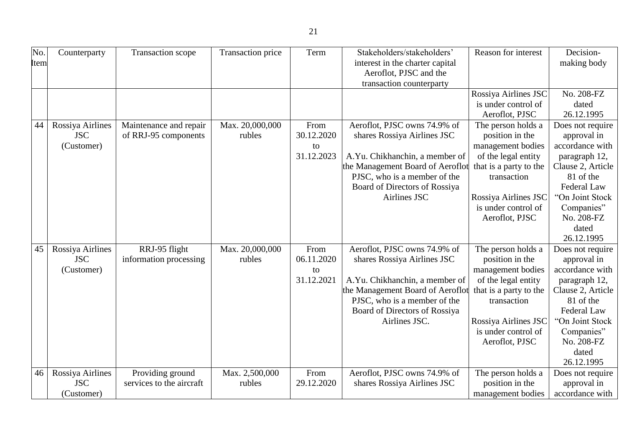| No.  | Counterparty     | Transaction scope        | Transaction price | Term       | Stakeholders/stakeholders'       | Reason for interest    | Decision-          |
|------|------------------|--------------------------|-------------------|------------|----------------------------------|------------------------|--------------------|
| Item |                  |                          |                   |            | interest in the charter capital  |                        | making body        |
|      |                  |                          |                   |            | Aeroflot, PJSC and the           |                        |                    |
|      |                  |                          |                   |            | transaction counterparty         | Rossiya Airlines JSC   | No. 208-FZ         |
|      |                  |                          |                   |            |                                  | is under control of    | dated              |
|      |                  |                          |                   |            |                                  | Aeroflot, PJSC         | 26.12.1995         |
| 44   | Rossiya Airlines | Maintenance and repair   | Max. 20,000,000   | From       | Aeroflot, PJSC owns 74.9% of     | The person holds a     | Does not require   |
|      | <b>JSC</b>       | of RRJ-95 components     | rubles            | 30.12.2020 | shares Rossiya Airlines JSC      | position in the        | approval in        |
|      | (Customer)       |                          |                   | to         |                                  | management bodies      | accordance with    |
|      |                  |                          |                   | 31.12.2023 | A.Yu. Chikhanchin, a member of   | of the legal entity    | paragraph 12,      |
|      |                  |                          |                   |            | the Management Board of Aeroflot | that is a party to the | Clause 2, Article  |
|      |                  |                          |                   |            | PJSC, who is a member of the     | transaction            | 81 of the          |
|      |                  |                          |                   |            | Board of Directors of Rossiya    |                        | Federal Law        |
|      |                  |                          |                   |            | Airlines JSC                     | Rossiya Airlines JSC   | "On Joint Stock    |
|      |                  |                          |                   |            |                                  | is under control of    | Companies"         |
|      |                  |                          |                   |            |                                  | Aeroflot, PJSC         | No. 208-FZ         |
|      |                  |                          |                   |            |                                  |                        | dated              |
|      |                  |                          |                   |            |                                  |                        | 26.12.1995         |
| 45   | Rossiya Airlines | RRJ-95 flight            | Max. 20,000,000   | From       | Aeroflot, PJSC owns 74.9% of     | The person holds a     | Does not require   |
|      | <b>JSC</b>       | information processing   | rubles            | 06.11.2020 | shares Rossiya Airlines JSC      | position in the        | approval in        |
|      | (Customer)       |                          |                   | to         |                                  | management bodies      | accordance with    |
|      |                  |                          |                   | 31.12.2021 | A.Yu. Chikhanchin, a member of   | of the legal entity    | paragraph 12,      |
|      |                  |                          |                   |            | the Management Board of Aeroflot | that is a party to the | Clause 2, Article  |
|      |                  |                          |                   |            | PJSC, who is a member of the     | transaction            | 81 of the          |
|      |                  |                          |                   |            | Board of Directors of Rossiya    |                        | <b>Federal Law</b> |
|      |                  |                          |                   |            | Airlines JSC.                    | Rossiya Airlines JSC   | "On Joint Stock    |
|      |                  |                          |                   |            |                                  | is under control of    | Companies"         |
|      |                  |                          |                   |            |                                  | Aeroflot, PJSC         | No. 208-FZ         |
|      |                  |                          |                   |            |                                  |                        | dated              |
|      |                  |                          |                   |            |                                  |                        | 26.12.1995         |
| 46   | Rossiya Airlines | Providing ground         | Max. 2,500,000    | From       | Aeroflot, PJSC owns 74.9% of     | The person holds a     | Does not require   |
|      | <b>JSC</b>       | services to the aircraft | rubles            | 29.12.2020 | shares Rossiya Airlines JSC      | position in the        | approval in        |
|      | (Customer)       |                          |                   |            |                                  | management bodies      | accordance with    |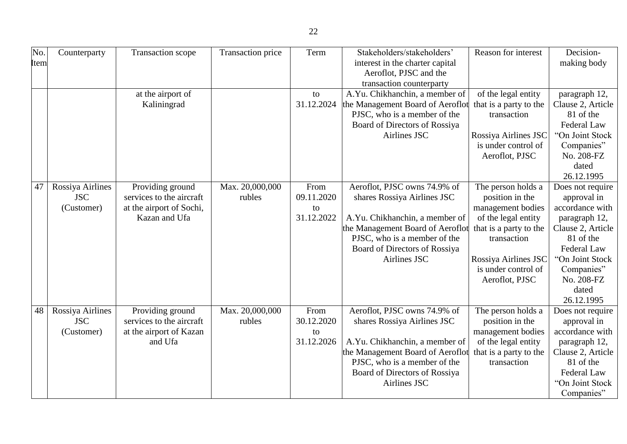| No.  | Counterparty     | Transaction scope        | Transaction price | Term       | Stakeholders/stakeholders'       | Reason for interest    | Decision-          |
|------|------------------|--------------------------|-------------------|------------|----------------------------------|------------------------|--------------------|
| Item |                  |                          |                   |            | interest in the charter capital  |                        | making body        |
|      |                  |                          |                   |            | Aeroflot, PJSC and the           |                        |                    |
|      |                  |                          |                   |            | transaction counterparty         |                        |                    |
|      |                  | at the airport of        |                   | to         | A.Yu. Chikhanchin, a member of   | of the legal entity    | paragraph 12,      |
|      |                  | Kaliningrad              |                   | 31.12.2024 | the Management Board of Aeroflot | that is a party to the | Clause 2, Article  |
|      |                  |                          |                   |            | PJSC, who is a member of the     | transaction            | 81 of the          |
|      |                  |                          |                   |            | Board of Directors of Rossiya    |                        | Federal Law        |
|      |                  |                          |                   |            | Airlines JSC                     | Rossiya Airlines JSC   | "On Joint Stock    |
|      |                  |                          |                   |            |                                  | is under control of    | Companies"         |
|      |                  |                          |                   |            |                                  | Aeroflot, PJSC         | No. 208-FZ         |
|      |                  |                          |                   |            |                                  |                        | dated              |
|      |                  |                          |                   |            |                                  |                        | 26.12.1995         |
| 47   | Rossiya Airlines | Providing ground         | Max. 20,000,000   | From       | Aeroflot, PJSC owns 74.9% of     | The person holds a     | Does not require   |
|      | <b>JSC</b>       | services to the aircraft | rubles            | 09.11.2020 | shares Rossiya Airlines JSC      | position in the        | approval in        |
|      | (Customer)       | at the airport of Sochi, |                   | to         |                                  | management bodies      | accordance with    |
|      |                  | Kazan and Ufa            |                   | 31.12.2022 | A.Yu. Chikhanchin, a member of   | of the legal entity    | paragraph 12,      |
|      |                  |                          |                   |            | the Management Board of Aeroflot | that is a party to the | Clause 2, Article  |
|      |                  |                          |                   |            | PJSC, who is a member of the     | transaction            | 81 of the          |
|      |                  |                          |                   |            | Board of Directors of Rossiya    |                        | <b>Federal Law</b> |
|      |                  |                          |                   |            | Airlines JSC                     | Rossiya Airlines JSC   | "On Joint Stock    |
|      |                  |                          |                   |            |                                  | is under control of    | Companies"         |
|      |                  |                          |                   |            |                                  | Aeroflot, PJSC         | No. 208-FZ         |
|      |                  |                          |                   |            |                                  |                        | dated              |
|      |                  |                          |                   |            |                                  |                        | 26.12.1995         |
| 48   | Rossiya Airlines | Providing ground         | Max. 20,000,000   | From       | Aeroflot, PJSC owns 74.9% of     | The person holds a     | Does not require   |
|      | <b>JSC</b>       | services to the aircraft | rubles            | 30.12.2020 | shares Rossiya Airlines JSC      | position in the        | approval in        |
|      | (Customer)       | at the airport of Kazan  |                   | to         |                                  | management bodies      | accordance with    |
|      |                  | and Ufa                  |                   | 31.12.2026 | A.Yu. Chikhanchin, a member of   | of the legal entity    | paragraph 12,      |
|      |                  |                          |                   |            | the Management Board of Aeroflot | that is a party to the | Clause 2, Article  |
|      |                  |                          |                   |            | PJSC, who is a member of the     | transaction            | 81 of the          |
|      |                  |                          |                   |            | Board of Directors of Rossiya    |                        | Federal Law        |
|      |                  |                          |                   |            | Airlines JSC                     |                        | "On Joint Stock    |
|      |                  |                          |                   |            |                                  |                        | Companies"         |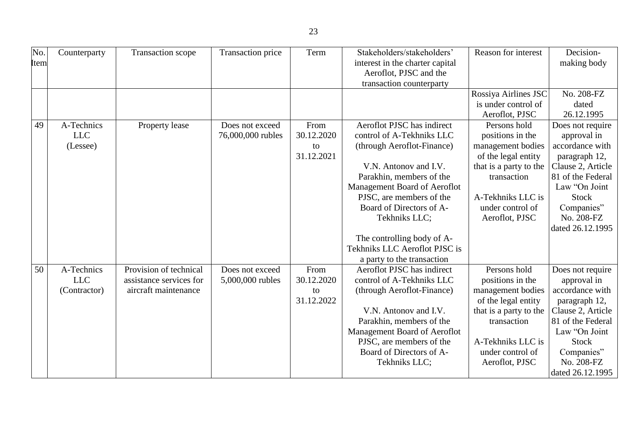| No.  | Counterparty | Transaction scope       | Transaction price | Term       | Stakeholders/stakeholders'      | Reason for interest    | Decision-         |
|------|--------------|-------------------------|-------------------|------------|---------------------------------|------------------------|-------------------|
| Item |              |                         |                   |            | interest in the charter capital |                        | making body       |
|      |              |                         |                   |            | Aeroflot, PJSC and the          |                        |                   |
|      |              |                         |                   |            | transaction counterparty        |                        |                   |
|      |              |                         |                   |            |                                 | Rossiya Airlines JSC   | No. 208-FZ        |
|      |              |                         |                   |            |                                 | is under control of    | dated             |
|      |              |                         |                   |            |                                 | Aeroflot, PJSC         | 26.12.1995        |
| 49   | A-Technics   | Property lease          | Does not exceed   | From       | Aeroflot PJSC has indirect      | Persons hold           | Does not require  |
|      | <b>LLC</b>   |                         | 76,000,000 rubles | 30.12.2020 | control of A-Tekhniks LLC       | positions in the       | approval in       |
|      | (Lessee)     |                         |                   | to         | (through Aeroflot-Finance)      | management bodies      | accordance with   |
|      |              |                         |                   | 31.12.2021 |                                 | of the legal entity    | paragraph 12,     |
|      |              |                         |                   |            | V.N. Antonov and I.V.           | that is a party to the | Clause 2, Article |
|      |              |                         |                   |            | Parakhin, members of the        | transaction            | 81 of the Federal |
|      |              |                         |                   |            | Management Board of Aeroflot    |                        | Law "On Joint     |
|      |              |                         |                   |            | PJSC, are members of the        | A-Tekhniks LLC is      | <b>Stock</b>      |
|      |              |                         |                   |            | Board of Directors of A-        | under control of       | Companies"        |
|      |              |                         |                   |            | Tekhniks LLC;                   | Aeroflot, PJSC         | No. 208-FZ        |
|      |              |                         |                   |            |                                 |                        | dated 26.12.1995  |
|      |              |                         |                   |            | The controlling body of A-      |                        |                   |
|      |              |                         |                   |            | Tekhniks LLC Aeroflot PJSC is   |                        |                   |
|      |              |                         |                   |            | a party to the transaction      |                        |                   |
| 50   | A-Technics   | Provision of technical  | Does not exceed   | From       | Aeroflot PJSC has indirect      | Persons hold           | Does not require  |
|      | <b>LLC</b>   | assistance services for | 5,000,000 rubles  | 30.12.2020 | control of A-Tekhniks LLC       | positions in the       | approval in       |
|      | (Contractor) | aircraft maintenance    |                   | to         | (through Aeroflot-Finance)      | management bodies      | accordance with   |
|      |              |                         |                   | 31.12.2022 |                                 | of the legal entity    | paragraph 12,     |
|      |              |                         |                   |            | V.N. Antonov and I.V.           | that is a party to the | Clause 2, Article |
|      |              |                         |                   |            | Parakhin, members of the        | transaction            | 81 of the Federal |
|      |              |                         |                   |            | Management Board of Aeroflot    |                        | Law "On Joint     |
|      |              |                         |                   |            | PJSC, are members of the        | A-Tekhniks LLC is      | <b>Stock</b>      |
|      |              |                         |                   |            | Board of Directors of A-        | under control of       | Companies"        |
|      |              |                         |                   |            | Tekhniks LLC;                   | Aeroflot, PJSC         | No. 208-FZ        |
|      |              |                         |                   |            |                                 |                        | dated 26.12.1995  |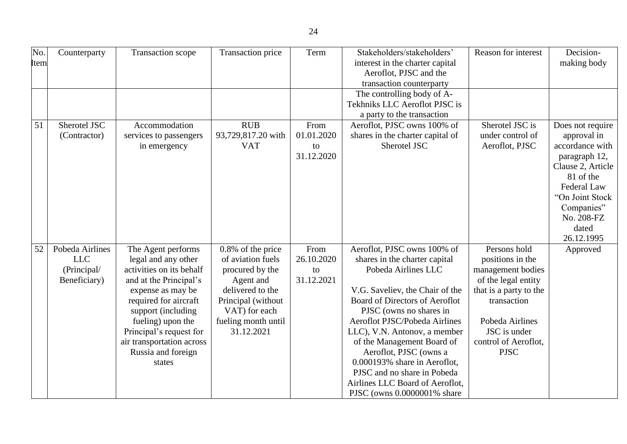| No.<br>Item | Counterparty                                                 | Transaction scope                                                                                                                                                                                                                                                                | Transaction price                                                                                                                                                      | Term                                   | Stakeholders/stakeholders'<br>interest in the charter capital<br>Aeroflot, PJSC and the<br>transaction counterparty                                                                                                                                                                                                                                                                                                                           | Reason for interest                                                                                                                                                                             | Decision-<br>making body                                                                                                                                                                   |
|-------------|--------------------------------------------------------------|----------------------------------------------------------------------------------------------------------------------------------------------------------------------------------------------------------------------------------------------------------------------------------|------------------------------------------------------------------------------------------------------------------------------------------------------------------------|----------------------------------------|-----------------------------------------------------------------------------------------------------------------------------------------------------------------------------------------------------------------------------------------------------------------------------------------------------------------------------------------------------------------------------------------------------------------------------------------------|-------------------------------------------------------------------------------------------------------------------------------------------------------------------------------------------------|--------------------------------------------------------------------------------------------------------------------------------------------------------------------------------------------|
|             |                                                              |                                                                                                                                                                                                                                                                                  |                                                                                                                                                                        |                                        | The controlling body of A-<br>Tekhniks LLC Aeroflot PJSC is<br>a party to the transaction                                                                                                                                                                                                                                                                                                                                                     |                                                                                                                                                                                                 |                                                                                                                                                                                            |
| 51          | Sherotel JSC<br>(Contractor)                                 | Accommodation<br>services to passengers<br>in emergency                                                                                                                                                                                                                          | <b>RUB</b><br>93,729,817.20 with<br><b>VAT</b>                                                                                                                         | From<br>01.01.2020<br>to<br>31.12.2020 | Aeroflot, PJSC owns 100% of<br>shares in the charter capital of<br>Sherotel JSC                                                                                                                                                                                                                                                                                                                                                               | Sherotel JSC is<br>under control of<br>Aeroflot, PJSC                                                                                                                                           | Does not require<br>approval in<br>accordance with<br>paragraph 12,<br>Clause 2, Article<br>81 of the<br>Federal Law<br>"On Joint Stock<br>Companies"<br>No. 208-FZ<br>dated<br>26.12.1995 |
| 52          | Pobeda Airlines<br><b>LLC</b><br>(Principal/<br>Beneficiary) | The Agent performs<br>legal and any other<br>activities on its behalf<br>and at the Principal's<br>expense as may be<br>required for aircraft<br>support (including<br>fueling) upon the<br>Principal's request for<br>air transportation across<br>Russia and foreign<br>states | 0.8% of the price<br>of aviation fuels<br>procured by the<br>Agent and<br>delivered to the<br>Principal (without<br>VAT) for each<br>fueling month until<br>31.12.2021 | From<br>26.10.2020<br>to<br>31.12.2021 | Aeroflot, PJSC owns 100% of<br>shares in the charter capital<br>Pobeda Airlines LLC<br>V.G. Saveliev, the Chair of the<br>Board of Directors of Aeroflot<br>PJSC (owns no shares in<br>Aeroflot PJSC/Pobeda Airlines<br>LLC), V.N. Antonov, a member<br>of the Management Board of<br>Aeroflot, PJSC (owns a<br>0.000193% share in Aeroflot,<br>PJSC and no share in Pobeda<br>Airlines LLC Board of Aeroflot,<br>PJSC (owns 0.0000001% share | Persons hold<br>positions in the<br>management bodies<br>of the legal entity<br>that is a party to the<br>transaction<br>Pobeda Airlines<br>JSC is under<br>control of Aeroflot,<br><b>PJSC</b> | Approved                                                                                                                                                                                   |